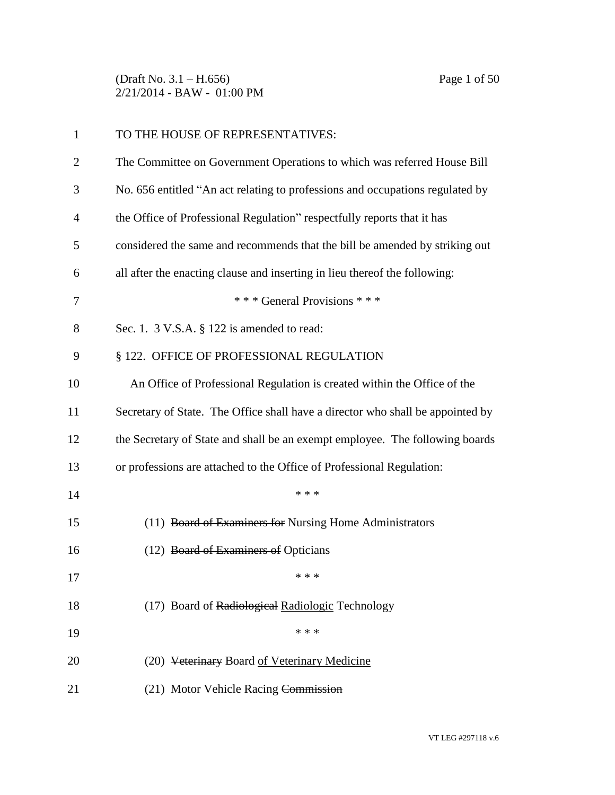(Draft No. 3.1 – H.656) Page 1 of 50 2/21/2014 - BAW - 01:00 PM

| $\mathbf{1}$ | TO THE HOUSE OF REPRESENTATIVES:                                               |  |
|--------------|--------------------------------------------------------------------------------|--|
| 2            | The Committee on Government Operations to which was referred House Bill        |  |
| 3            | No. 656 entitled "An act relating to professions and occupations regulated by  |  |
| 4            | the Office of Professional Regulation" respectfully reports that it has        |  |
| 5            | considered the same and recommends that the bill be amended by striking out    |  |
| 6            | all after the enacting clause and inserting in lieu thereof the following:     |  |
| 7            | *** General Provisions ***                                                     |  |
| 8            | Sec. 1. $3$ V.S.A. $\S$ 122 is amended to read:                                |  |
| 9            | § 122. OFFICE OF PROFESSIONAL REGULATION                                       |  |
| 10           | An Office of Professional Regulation is created within the Office of the       |  |
| 11           | Secretary of State. The Office shall have a director who shall be appointed by |  |
| 12           | the Secretary of State and shall be an exempt employee. The following boards   |  |
| 13           | or professions are attached to the Office of Professional Regulation:          |  |
| 14           | * * *                                                                          |  |
| 15           | (11) Board of Examiners for Nursing Home Administrators                        |  |
| 16           | (12) Board of Examiners of Opticians                                           |  |
| 17           | * * *                                                                          |  |
| 18           | (17) Board of Radiological Radiologic Technology                               |  |
| 19           | * * *                                                                          |  |
| 20           | (20) Veterinary Board of Veterinary Medicine                                   |  |
| 21           | (21) Motor Vehicle Racing Commission                                           |  |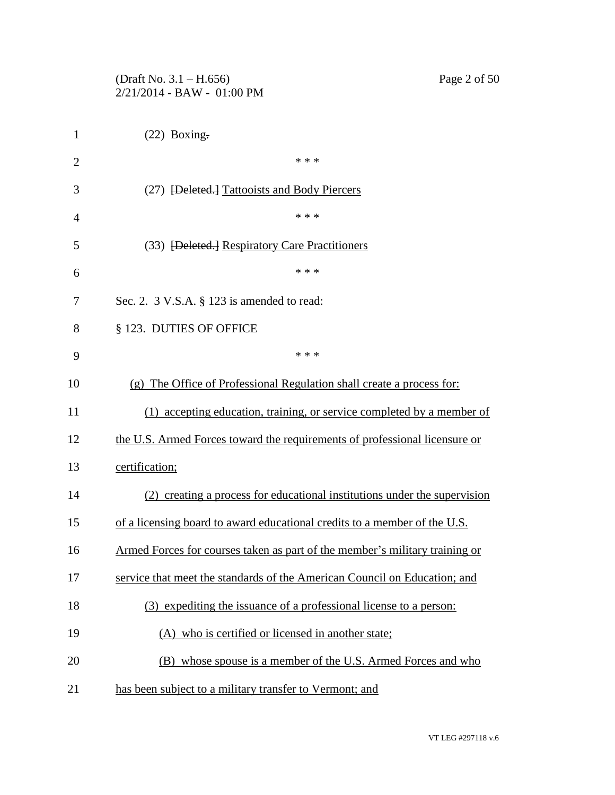|                | (Draft No. 3.1 – H.656)<br>Page 2 of 50<br>2/21/2014 - BAW - 01:00 PM       |  |  |
|----------------|-----------------------------------------------------------------------------|--|--|
| $\mathbf{1}$   | $(22)$ Boxing.                                                              |  |  |
| $\overline{2}$ | * * *                                                                       |  |  |
| 3              | (27) [Deleted.] Tattooists and Body Piercers                                |  |  |
| 4              | * * *                                                                       |  |  |
| 5              | (33) <del>[Deleted.]</del> Respiratory Care Practitioners                   |  |  |
| 6              | * * *                                                                       |  |  |
| 7              | Sec. 2. $3$ V.S.A. $\S$ 123 is amended to read:                             |  |  |
| 8              | § 123. DUTIES OF OFFICE                                                     |  |  |
| 9              | * * *                                                                       |  |  |
| 10             | (g) The Office of Professional Regulation shall create a process for:       |  |  |
| 11             | (1) accepting education, training, or service completed by a member of      |  |  |
| 12             | the U.S. Armed Forces toward the requirements of professional licensure or  |  |  |
| 13             | certification;                                                              |  |  |
| 14             | (2) creating a process for educational institutions under the supervision   |  |  |
| 15             | of a licensing board to award educational credits to a member of the U.S.   |  |  |
| 16             | Armed Forces for courses taken as part of the member's military training or |  |  |
| 17             | service that meet the standards of the American Council on Education; and   |  |  |
| 18             | (3) expediting the issuance of a professional license to a person:          |  |  |
| 19             | (A) who is certified or licensed in another state;                          |  |  |
| 20             | (B) whose spouse is a member of the U.S. Armed Forces and who               |  |  |
| 21             | has been subject to a military transfer to Vermont; and                     |  |  |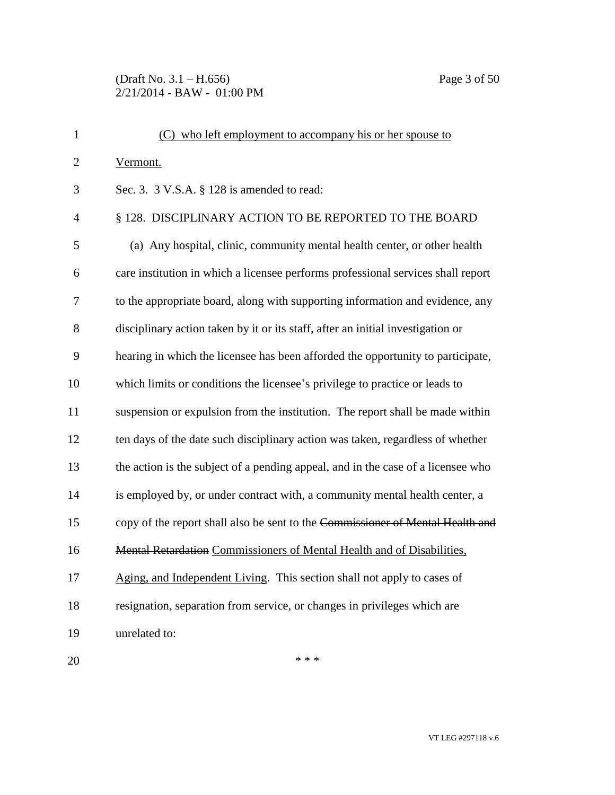# (Draft No. 3.1 – H.656) Page 3 of 50 2/21/2014 - BAW - 01:00 PM

| $\mathbf{1}$   | (C) who left employment to accompany his or her spouse to                        |  |  |
|----------------|----------------------------------------------------------------------------------|--|--|
| $\overline{2}$ | Vermont.                                                                         |  |  |
| 3              | Sec. 3. 3 V.S.A. § 128 is amended to read:                                       |  |  |
| $\overline{4}$ | § 128. DISCIPLINARY ACTION TO BE REPORTED TO THE BOARD                           |  |  |
| 5              | (a) Any hospital, clinic, community mental health center, or other health        |  |  |
| 6              | care institution in which a licensee performs professional services shall report |  |  |
| 7              | to the appropriate board, along with supporting information and evidence, any    |  |  |
| 8              | disciplinary action taken by it or its staff, after an initial investigation or  |  |  |
| 9              | hearing in which the licensee has been afforded the opportunity to participate,  |  |  |
| 10             | which limits or conditions the licensee's privilege to practice or leads to      |  |  |
| 11             | suspension or expulsion from the institution. The report shall be made within    |  |  |
| 12             | ten days of the date such disciplinary action was taken, regardless of whether   |  |  |
| 13             | the action is the subject of a pending appeal, and in the case of a licensee who |  |  |
| 14             | is employed by, or under contract with, a community mental health center, a      |  |  |
| 15             | copy of the report shall also be sent to the Commissioner of Mental Health and   |  |  |
| 16             | Mental Retardation Commissioners of Mental Health and of Disabilities,           |  |  |
| 17             | Aging, and Independent Living. This section shall not apply to cases of          |  |  |
| 18             | resignation, separation from service, or changes in privileges which are         |  |  |
| 19             | unrelated to:                                                                    |  |  |
| 20             | * * *                                                                            |  |  |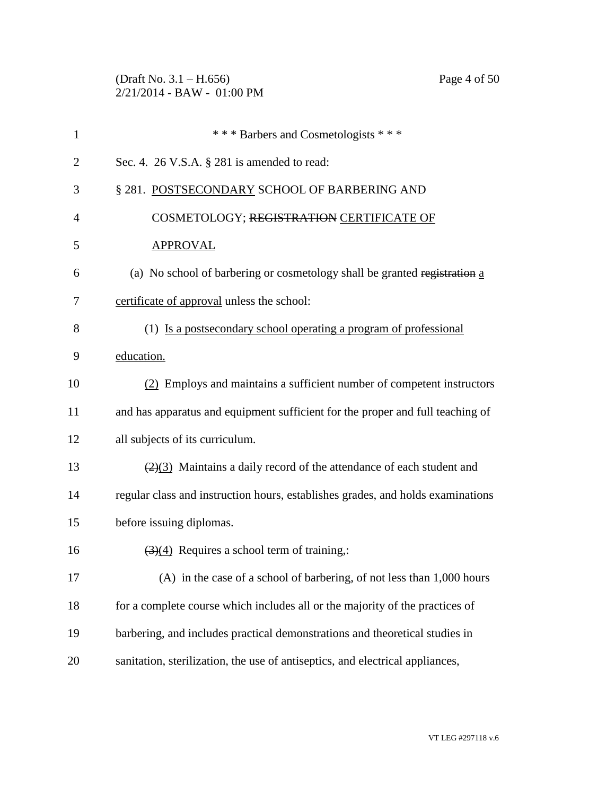(Draft No. 3.1 – H.656) Page 4 of 50 2/21/2014 - BAW - 01:00 PM

| $\mathbf{1}$   | *** Barbers and Cosmetologists ***                                                        |
|----------------|-------------------------------------------------------------------------------------------|
| $\overline{2}$ | Sec. 4. $26$ V.S.A. $\S$ 281 is amended to read:                                          |
| 3              | § 281. POSTSECONDARY SCHOOL OF BARBERING AND                                              |
| $\overline{4}$ | COSMETOLOGY; REGISTRATION CERTIFICATE OF                                                  |
| 5              | <b>APPROVAL</b>                                                                           |
| 6              | (a) No school of barbering or cosmetology shall be granted registration a                 |
| 7              | certificate of approval unless the school:                                                |
| 8              | (1) Is a postsecondary school operating a program of professional                         |
| 9              | education.                                                                                |
| 10             | (2) Employs and maintains a sufficient number of competent instructors                    |
| 11             | and has apparatus and equipment sufficient for the proper and full teaching of            |
| 12             | all subjects of its curriculum.                                                           |
| 13             | $\left(\frac{2}{3}\right)$ Maintains a daily record of the attendance of each student and |
| 14             | regular class and instruction hours, establishes grades, and holds examinations           |
| 15             | before issuing diplomas.                                                                  |
| 16             | $\left(\frac{3}{4}\right)$ Requires a school term of training,:                           |
| 17             | $(A)$ in the case of a school of barbering, of not less than 1,000 hours                  |
| 18             | for a complete course which includes all or the majority of the practices of              |
| 19             | barbering, and includes practical demonstrations and theoretical studies in               |
| 20             | sanitation, sterilization, the use of antiseptics, and electrical appliances,             |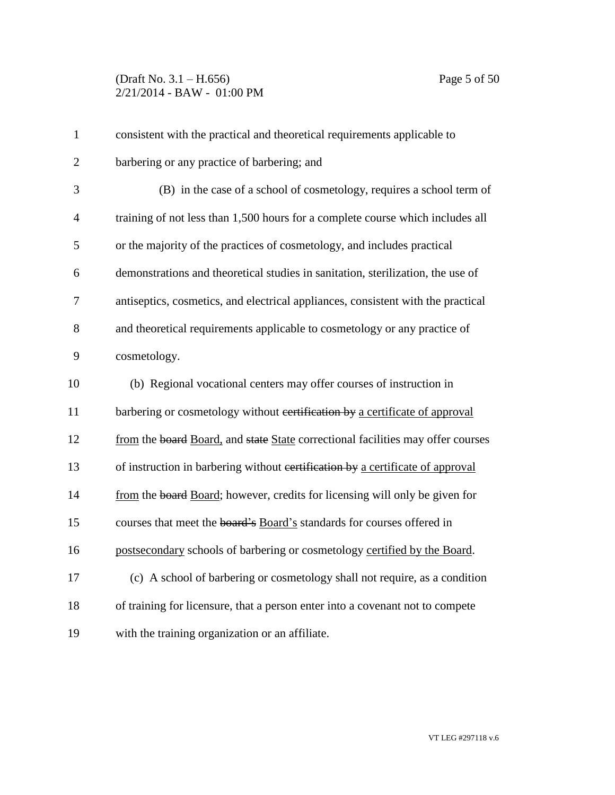| $\mathbf{1}$   | consistent with the practical and theoretical requirements applicable to         |
|----------------|----------------------------------------------------------------------------------|
| $\overline{2}$ | barbering or any practice of barbering; and                                      |
| 3              | (B) in the case of a school of cosmetology, requires a school term of            |
| $\overline{4}$ | training of not less than 1,500 hours for a complete course which includes all   |
| 5              | or the majority of the practices of cosmetology, and includes practical          |
| 6              | demonstrations and theoretical studies in sanitation, sterilization, the use of  |
| 7              | antiseptics, cosmetics, and electrical appliances, consistent with the practical |
| 8              | and theoretical requirements applicable to cosmetology or any practice of        |
| 9              | cosmetology.                                                                     |
| 10             | (b) Regional vocational centers may offer courses of instruction in              |
| 11             | barbering or cosmetology without certification by a certificate of approval      |
| 12             | from the board Board, and state State correctional facilities may offer courses  |
| 13             | of instruction in barbering without certification by a certificate of approval   |
| 14             | from the board Board; however, credits for licensing will only be given for      |
| 15             | courses that meet the board's Board's standards for courses offered in           |
| 16             | postsecondary schools of barbering or cosmetology certified by the Board.        |
| 17             | (c) A school of barbering or cosmetology shall not require, as a condition       |
| 18             | of training for licensure, that a person enter into a covenant not to compete    |
| 19             | with the training organization or an affiliate.                                  |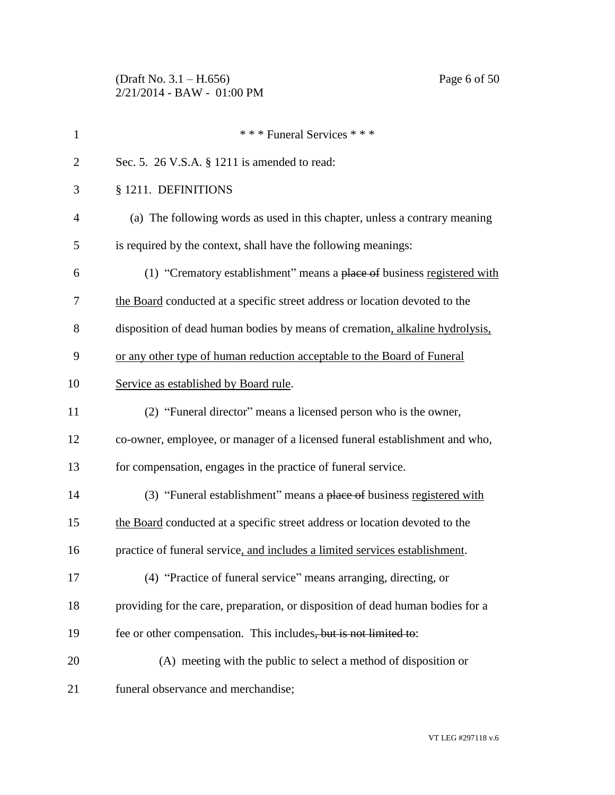| $\mathbf{1}$   | *** Funeral Services ***                                                       |
|----------------|--------------------------------------------------------------------------------|
| $\overline{2}$ | Sec. 5. 26 V.S.A. § 1211 is amended to read:                                   |
| 3              | § 1211. DEFINITIONS                                                            |
| $\overline{4}$ | (a) The following words as used in this chapter, unless a contrary meaning     |
| 5              | is required by the context, shall have the following meanings:                 |
| 6              | (1) "Crematory establishment" means a place of business registered with        |
| 7              | the Board conducted at a specific street address or location devoted to the    |
| 8              | disposition of dead human bodies by means of cremation, alkaline hydrolysis,   |
| 9              | or any other type of human reduction acceptable to the Board of Funeral        |
| 10             | Service as established by Board rule.                                          |
| 11             | (2) "Funeral director" means a licensed person who is the owner,               |
| 12             | co-owner, employee, or manager of a licensed funeral establishment and who,    |
| 13             | for compensation, engages in the practice of funeral service.                  |
| 14             | (3) "Funeral establishment" means a place of business registered with          |
| 15             | the Board conducted at a specific street address or location devoted to the    |
| 16             | practice of funeral service, and includes a limited services establishment.    |
| 17             | (4) "Practice of funeral service" means arranging, directing, or               |
| 18             | providing for the care, preparation, or disposition of dead human bodies for a |
| 19             | fee or other compensation. This includes, but is not limited to:               |
| 20             | (A) meeting with the public to select a method of disposition or               |
| 21             | funeral observance and merchandise;                                            |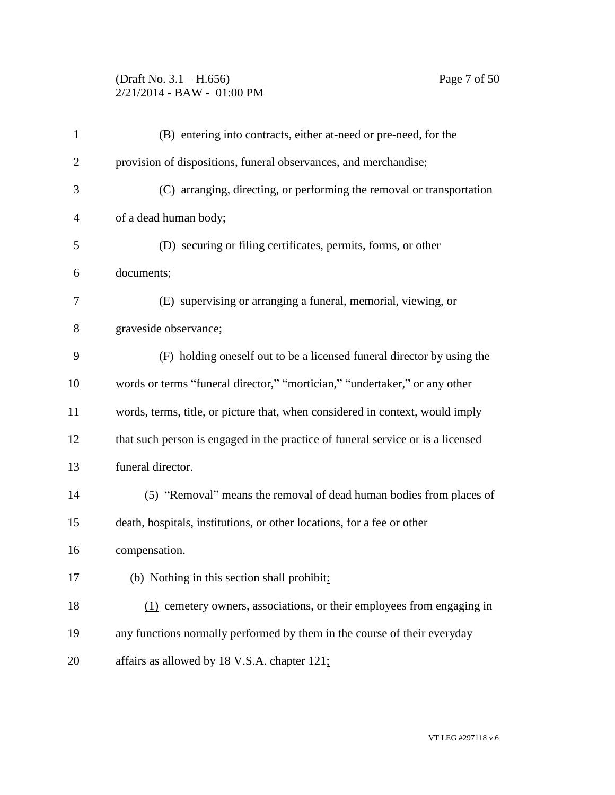### (Draft No. 3.1 – H.656) Page 7 of 50 2/21/2014 - BAW - 01:00 PM

| $\mathbf{1}$ | (B) entering into contracts, either at-need or pre-need, for the                |  |  |
|--------------|---------------------------------------------------------------------------------|--|--|
| 2            | provision of dispositions, funeral observances, and merchandise;                |  |  |
| 3            | (C) arranging, directing, or performing the removal or transportation           |  |  |
| 4            | of a dead human body;                                                           |  |  |
| 5            | (D) securing or filing certificates, permits, forms, or other                   |  |  |
| 6            | documents;                                                                      |  |  |
| 7            | (E) supervising or arranging a funeral, memorial, viewing, or                   |  |  |
| 8            | graveside observance;                                                           |  |  |
| 9            | (F) holding oneself out to be a licensed funeral director by using the          |  |  |
| 10           | words or terms "funeral director," "mortician," "undertaker," or any other      |  |  |
| 11           | words, terms, title, or picture that, when considered in context, would imply   |  |  |
| 12           | that such person is engaged in the practice of funeral service or is a licensed |  |  |
| 13           | funeral director.                                                               |  |  |
| 14           | (5) "Removal" means the removal of dead human bodies from places of             |  |  |
| 15           | death, hospitals, institutions, or other locations, for a fee or other          |  |  |
| 16           | compensation.                                                                   |  |  |
| 17           | (b) Nothing in this section shall prohibit:                                     |  |  |
| 18           | (1) cemetery owners, associations, or their employees from engaging in          |  |  |
| 19           | any functions normally performed by them in the course of their everyday        |  |  |
| 20           | affairs as allowed by 18 V.S.A. chapter 121;                                    |  |  |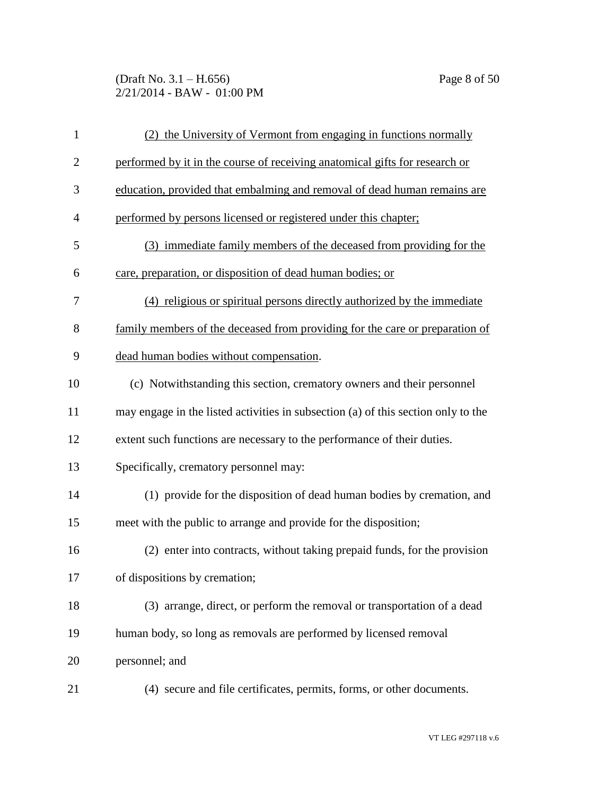### (Draft No. 3.1 – H.656) Page 8 of 50 2/21/2014 - BAW - 01:00 PM

| $\mathbf{1}$   | (2) the University of Vermont from engaging in functions normally                 |  |  |
|----------------|-----------------------------------------------------------------------------------|--|--|
| 2              | performed by it in the course of receiving anatomical gifts for research or       |  |  |
| 3              | education, provided that embalming and removal of dead human remains are          |  |  |
| $\overline{4}$ | performed by persons licensed or registered under this chapter;                   |  |  |
| 5              | (3) immediate family members of the deceased from providing for the               |  |  |
| 6              | care, preparation, or disposition of dead human bodies; or                        |  |  |
| 7              | (4) religious or spiritual persons directly authorized by the immediate           |  |  |
| 8              | family members of the deceased from providing for the care or preparation of      |  |  |
| 9              | dead human bodies without compensation.                                           |  |  |
| 10             | (c) Notwithstanding this section, crematory owners and their personnel            |  |  |
| 11             | may engage in the listed activities in subsection (a) of this section only to the |  |  |
| 12             | extent such functions are necessary to the performance of their duties.           |  |  |
| 13             | Specifically, crematory personnel may:                                            |  |  |
| 14             | (1) provide for the disposition of dead human bodies by cremation, and            |  |  |
| 15             | meet with the public to arrange and provide for the disposition;                  |  |  |
| 16             | (2) enter into contracts, without taking prepaid funds, for the provision         |  |  |
| 17             | of dispositions by cremation;                                                     |  |  |
| 18             | (3) arrange, direct, or perform the removal or transportation of a dead           |  |  |
| 19             | human body, so long as removals are performed by licensed removal                 |  |  |
| 20             | personnel; and                                                                    |  |  |
| 21             | (4) secure and file certificates, permits, forms, or other documents.             |  |  |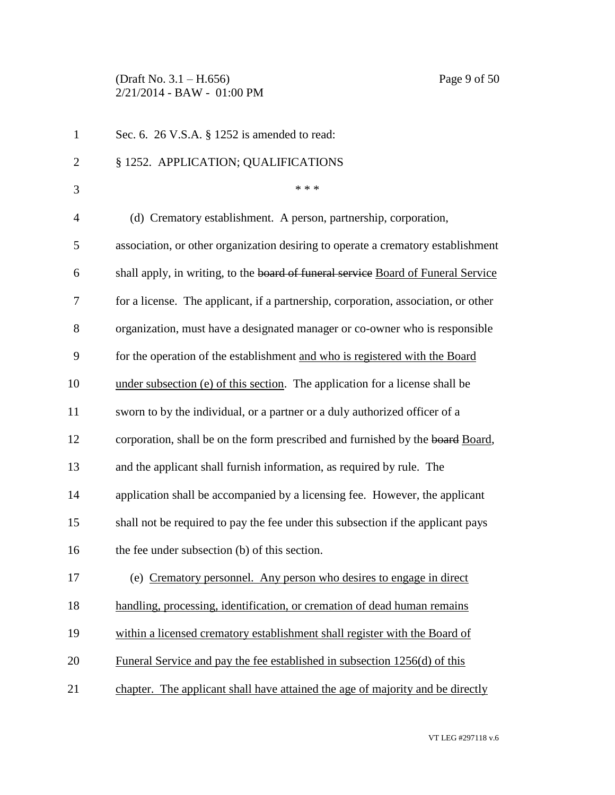(Draft No. 3.1 – H.656) Page 9 of 50 2/21/2014 - BAW - 01:00 PM

| $\mathbf{1}$   | Sec. 6. 26 V.S.A. § 1252 is amended to read:                                       |  |
|----------------|------------------------------------------------------------------------------------|--|
| $\overline{c}$ | § 1252. APPLICATION; QUALIFICATIONS                                                |  |
| 3              | * * *                                                                              |  |
| $\overline{4}$ | (d) Crematory establishment. A person, partnership, corporation,                   |  |
| 5              | association, or other organization desiring to operate a crematory establishment   |  |
| 6              | shall apply, in writing, to the board of funeral service Board of Funeral Service  |  |
| 7              | for a license. The applicant, if a partnership, corporation, association, or other |  |
| 8              | organization, must have a designated manager or co-owner who is responsible        |  |
| 9              | for the operation of the establishment and who is registered with the Board        |  |
| 10             | under subsection (e) of this section. The application for a license shall be       |  |
| 11             | sworn to by the individual, or a partner or a duly authorized officer of a         |  |
| 12             | corporation, shall be on the form prescribed and furnished by the board Board,     |  |
| 13             | and the applicant shall furnish information, as required by rule. The              |  |
| 14             | application shall be accompanied by a licensing fee. However, the applicant        |  |
| 15             | shall not be required to pay the fee under this subsection if the applicant pays   |  |
| 16             | the fee under subsection (b) of this section.                                      |  |
| 17             | (e) Crematory personnel. Any person who desires to engage in direct                |  |
| 18             | handling, processing, identification, or cremation of dead human remains           |  |
| 19             | within a licensed crematory establishment shall register with the Board of         |  |
| 20             | Funeral Service and pay the fee established in subsection 1256(d) of this          |  |
| 21             | chapter. The applicant shall have attained the age of majority and be directly     |  |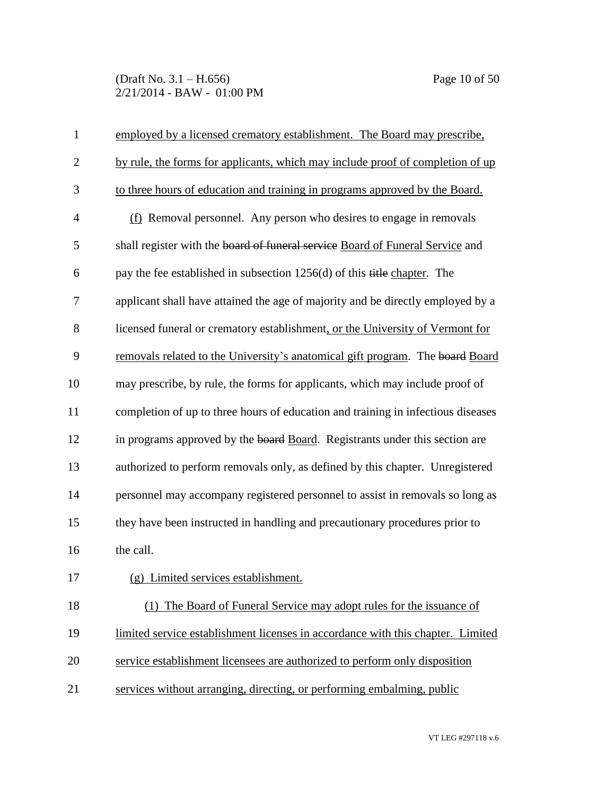### (Draft No. 3.1 – H.656) Page 10 of 50 2/21/2014 - BAW - 01:00 PM

| $\mathbf{1}$   | employed by a licensed crematory establishment. The Board may prescribe,         |  |  |
|----------------|----------------------------------------------------------------------------------|--|--|
| $\mathbf{2}$   | by rule, the forms for applicants, which may include proof of completion of up   |  |  |
| 3              | to three hours of education and training in programs approved by the Board.      |  |  |
| $\overline{4}$ | $(f)$ Removal personnel. Any person who desires to engage in removals            |  |  |
| 5              | shall register with the board of funeral service Board of Funeral Service and    |  |  |
| 6              | pay the fee established in subsection $1256(d)$ of this title chapter. The       |  |  |
| 7              | applicant shall have attained the age of majority and be directly employed by a  |  |  |
| 8              | licensed funeral or crematory establishment, or the University of Vermont for    |  |  |
| 9              | removals related to the University's anatomical gift program. The board Board    |  |  |
| 10             | may prescribe, by rule, the forms for applicants, which may include proof of     |  |  |
| 11             | completion of up to three hours of education and training in infectious diseases |  |  |
| 12             | in programs approved by the board Board. Registrants under this section are      |  |  |
| 13             | authorized to perform removals only, as defined by this chapter. Unregistered    |  |  |
| 14             | personnel may accompany registered personnel to assist in removals so long as    |  |  |
| 15             | they have been instructed in handling and precautionary procedures prior to      |  |  |
| 16             | the call.                                                                        |  |  |
| 17             | Limited services establishment.<br>(g)                                           |  |  |
| 18             | The Board of Funeral Service may adopt rules for the issuance of                 |  |  |
| 19             | limited service establishment licenses in accordance with this chapter. Limited  |  |  |
| 20             | service establishment licensees are authorized to perform only disposition       |  |  |
| 21             | services without arranging, directing, or performing embalming, public           |  |  |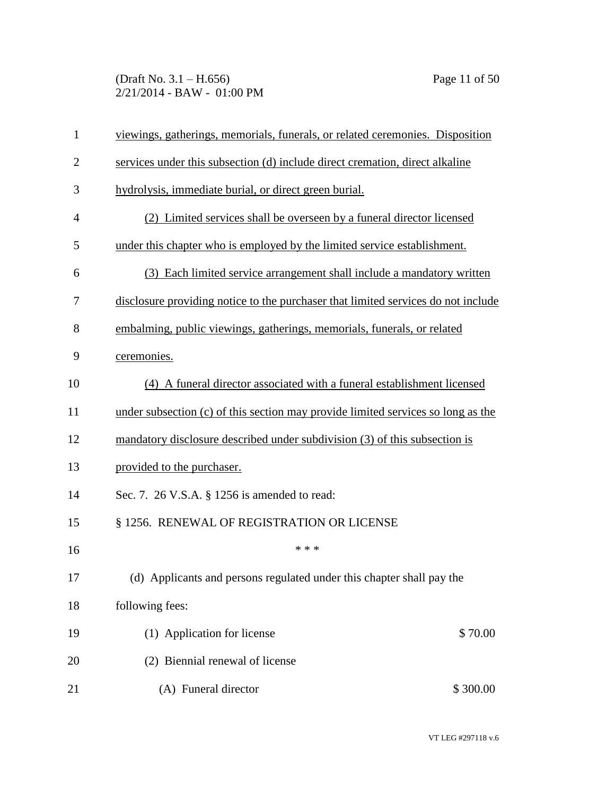### (Draft No. 3.1 – H.656) Page 11 of 50 2/21/2014 - BAW - 01:00 PM

| $\mathbf{1}$   | viewings, gatherings, memorials, funerals, or related ceremonies. Disposition     |  |  |
|----------------|-----------------------------------------------------------------------------------|--|--|
| $\overline{2}$ | services under this subsection (d) include direct cremation, direct alkaline      |  |  |
| 3              | hydrolysis, immediate burial, or direct green burial.                             |  |  |
| $\overline{4}$ | (2) Limited services shall be overseen by a funeral director licensed             |  |  |
| 5              | under this chapter who is employed by the limited service establishment.          |  |  |
| 6              | (3) Each limited service arrangement shall include a mandatory written            |  |  |
| 7              | disclosure providing notice to the purchaser that limited services do not include |  |  |
| 8              | embalming, public viewings, gatherings, memorials, funerals, or related           |  |  |
| 9              | ceremonies.                                                                       |  |  |
| 10             | (4) A funeral director associated with a funeral establishment licensed           |  |  |
| 11             | under subsection (c) of this section may provide limited services so long as the  |  |  |
| 12             | mandatory disclosure described under subdivision (3) of this subsection is        |  |  |
| 13             | provided to the purchaser.                                                        |  |  |
| 14             | Sec. 7. 26 V.S.A. § 1256 is amended to read:                                      |  |  |
| 15             | § 1256. RENEWAL OF REGISTRATION OR LICENSE                                        |  |  |
| 16             | * * *                                                                             |  |  |
| 17             | (d) Applicants and persons regulated under this chapter shall pay the             |  |  |
| 18             | following fees:                                                                   |  |  |
| 19             | (1) Application for license<br>\$70.00                                            |  |  |
| 20             | (2) Biennial renewal of license                                                   |  |  |
| 21             | (A) Funeral director<br>\$300.00                                                  |  |  |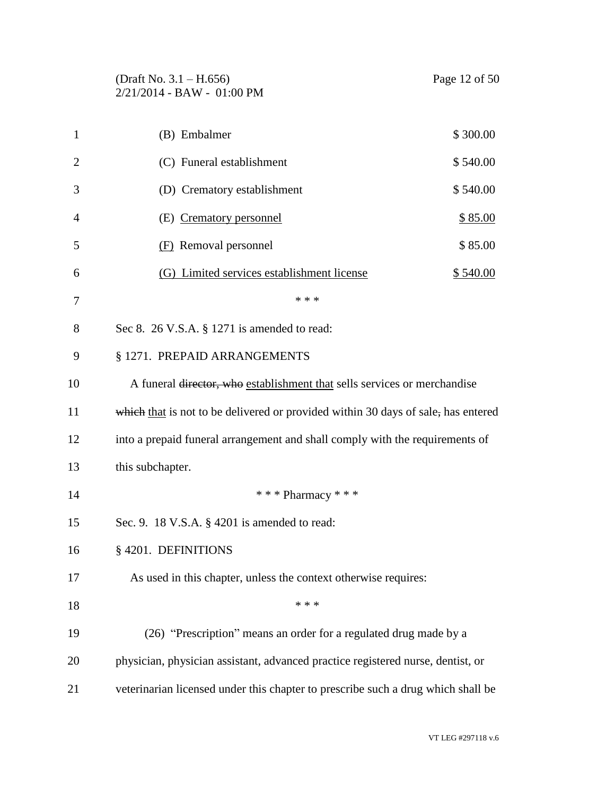| (Draft No. $3.1 - H.656$ )   |  |
|------------------------------|--|
| $2/21/2014 - BAW - 01:00 PM$ |  |

| 1              | (B) Embalmer                                                                      | \$300.00       |
|----------------|-----------------------------------------------------------------------------------|----------------|
| $\overline{2}$ | (C) Funeral establishment                                                         | \$540.00       |
| 3              | (D) Crematory establishment                                                       | \$540.00       |
| $\overline{4}$ | (E) Crematory personnel                                                           | <u>\$85.00</u> |
| 5              | (F) Removal personnel                                                             | \$85.00        |
| 6              | (G) Limited services establishment license                                        | \$540.00       |
| 7              | * * *                                                                             |                |
| 8              | Sec 8. $26$ V.S.A. § 1271 is amended to read:                                     |                |
| 9              | § 1271. PREPAID ARRANGEMENTS                                                      |                |
| 10             | A funeral director, who establishment that sells services or merchandise          |                |
| 11             | which that is not to be delivered or provided within 30 days of sale, has entered |                |
| 12             | into a prepaid funeral arrangement and shall comply with the requirements of      |                |
| 13             | this subchapter.                                                                  |                |
| 14             | *** Pharmacy ***                                                                  |                |
| 15             | Sec. 9. 18 V.S.A. § 4201 is amended to read:                                      |                |
| 16             | §4201. DEFINITIONS                                                                |                |
| 17             | As used in this chapter, unless the context otherwise requires:                   |                |
| 18             | * * *                                                                             |                |
| 19             | (26) "Prescription" means an order for a regulated drug made by a                 |                |
| 20             | physician, physician assistant, advanced practice registered nurse, dentist, or   |                |
| 21             | veterinarian licensed under this chapter to prescribe such a drug which shall be  |                |

VT LEG #297118 v.6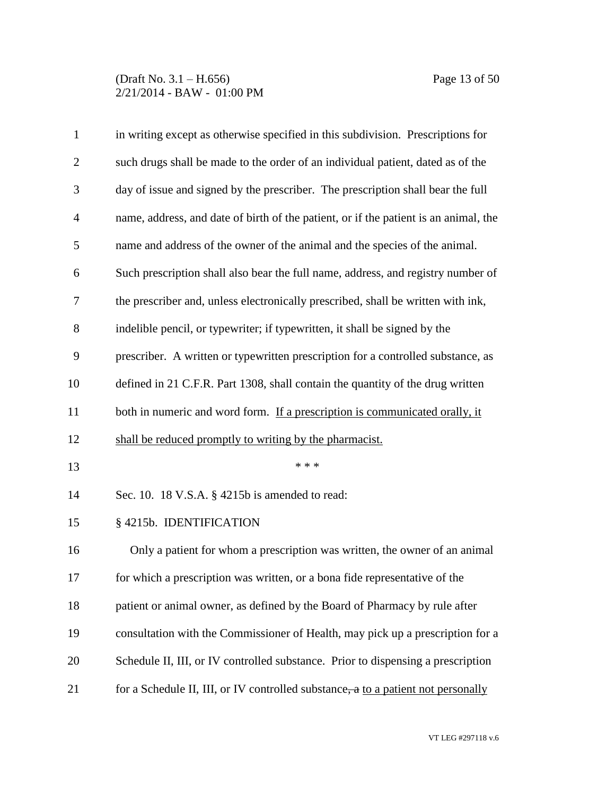### (Draft No. 3.1 – H.656) Page 13 of 50 2/21/2014 - BAW - 01:00 PM

| $\mathbf{1}$   | in writing except as otherwise specified in this subdivision. Prescriptions for      |
|----------------|--------------------------------------------------------------------------------------|
| $\overline{2}$ | such drugs shall be made to the order of an individual patient, dated as of the      |
| 3              | day of issue and signed by the prescriber. The prescription shall bear the full      |
| $\overline{4}$ | name, address, and date of birth of the patient, or if the patient is an animal, the |
| 5              | name and address of the owner of the animal and the species of the animal.           |
| 6              | Such prescription shall also bear the full name, address, and registry number of     |
| 7              | the prescriber and, unless electronically prescribed, shall be written with ink,     |
| 8              | indelible pencil, or typewriter; if typewritten, it shall be signed by the           |
| 9              | prescriber. A written or typewritten prescription for a controlled substance, as     |
| 10             | defined in 21 C.F.R. Part 1308, shall contain the quantity of the drug written       |
| 11             | both in numeric and word form. If a prescription is communicated orally, it          |
| 12             | shall be reduced promptly to writing by the pharmacist.                              |
| 13             | * * *                                                                                |
| 14             | Sec. 10. 18 V.S.A. § 4215b is amended to read:                                       |
| 15             | § 4215b. IDENTIFICATION                                                              |
| 16             | Only a patient for whom a prescription was written, the owner of an animal           |
| 17             | for which a prescription was written, or a bona fide representative of the           |
| 18             | patient or animal owner, as defined by the Board of Pharmacy by rule after           |
| 19             | consultation with the Commissioner of Health, may pick up a prescription for a       |
| 20             | Schedule II, III, or IV controlled substance. Prior to dispensing a prescription     |
| 21             | for a Schedule II, III, or IV controlled substance, a to a patient not personally    |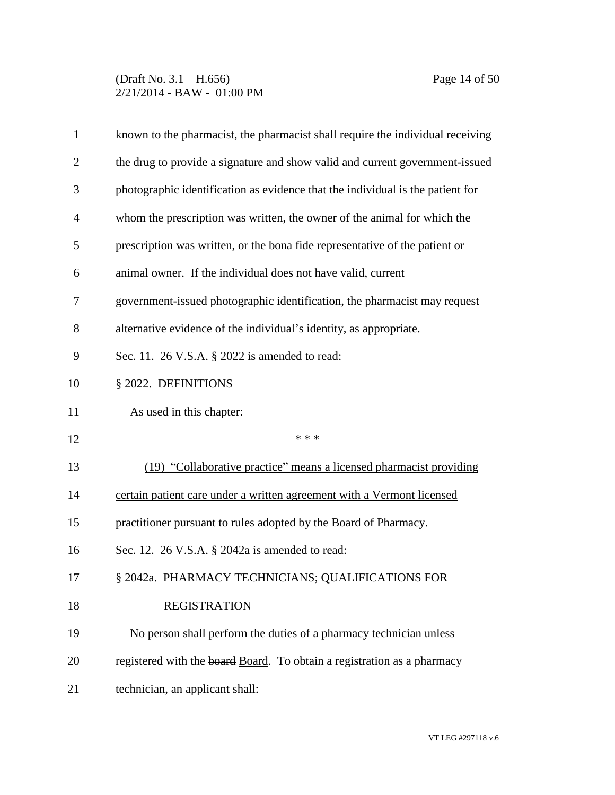(Draft No. 3.1 – H.656) Page 14 of 50 2/21/2014 - BAW - 01:00 PM

| $\mathbf{1}$ | known to the pharmacist, the pharmacist shall require the individual receiving |
|--------------|--------------------------------------------------------------------------------|
| 2            | the drug to provide a signature and show valid and current government-issued   |
| 3            | photographic identification as evidence that the individual is the patient for |
| 4            | whom the prescription was written, the owner of the animal for which the       |
| 5            | prescription was written, or the bona fide representative of the patient or    |
| 6            | animal owner. If the individual does not have valid, current                   |
| 7            | government-issued photographic identification, the pharmacist may request      |
| 8            | alternative evidence of the individual's identity, as appropriate.             |
| 9            | Sec. 11. 26 V.S.A. § 2022 is amended to read:                                  |
| 10           | § 2022. DEFINITIONS                                                            |
| 11           | As used in this chapter:                                                       |
| 12           | * * *                                                                          |
| 13           | (19) "Collaborative practice" means a licensed pharmacist providing            |
| 14           | certain patient care under a written agreement with a Vermont licensed         |
| 15           | practitioner pursuant to rules adopted by the Board of Pharmacy.               |
| 16           | Sec. 12. 26 V.S.A. § 2042a is amended to read:                                 |
| 17           | § 2042a. PHARMACY TECHNICIANS; QUALIFICATIONS FOR                              |
| 18           | <b>REGISTRATION</b>                                                            |
| 19           | No person shall perform the duties of a pharmacy technician unless             |
| 20           | registered with the board Board. To obtain a registration as a pharmacy        |
| 21           | technician, an applicant shall:                                                |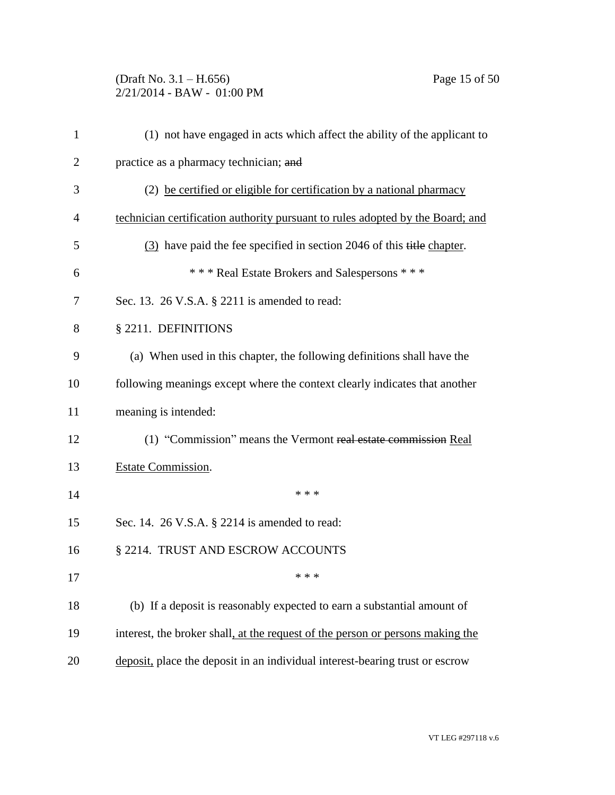### (Draft No. 3.1 – H.656) Page 15 of 50 2/21/2014 - BAW - 01:00 PM

| $\mathbf{1}$   | (1) not have engaged in acts which affect the ability of the applicant to      |
|----------------|--------------------------------------------------------------------------------|
| $\overline{2}$ | practice as a pharmacy technician; and                                         |
| 3              | (2) be certified or eligible for certification by a national pharmacy          |
| 4              | technician certification authority pursuant to rules adopted by the Board; and |
| 5              | (3) have paid the fee specified in section 2046 of this title chapter.         |
| 6              | *** Real Estate Brokers and Salespersons ***                                   |
| 7              | Sec. 13. 26 V.S.A. § 2211 is amended to read:                                  |
| 8              | § 2211. DEFINITIONS                                                            |
| 9              | (a) When used in this chapter, the following definitions shall have the        |
| 10             | following meanings except where the context clearly indicates that another     |
| 11             | meaning is intended:                                                           |
| 12             | (1) "Commission" means the Vermont real estate commission Real                 |
| 13             | Estate Commission.                                                             |
| 14             | * * *                                                                          |
| 15             | Sec. 14. 26 V.S.A. § 2214 is amended to read:                                  |
| 16             | § 2214. TRUST AND ESCROW ACCOUNTS                                              |
| 17             | * * *                                                                          |
| 18             | (b) If a deposit is reasonably expected to earn a substantial amount of        |
| 19             | interest, the broker shall, at the request of the person or persons making the |
| 20             | deposit, place the deposit in an individual interest-bearing trust or escrow   |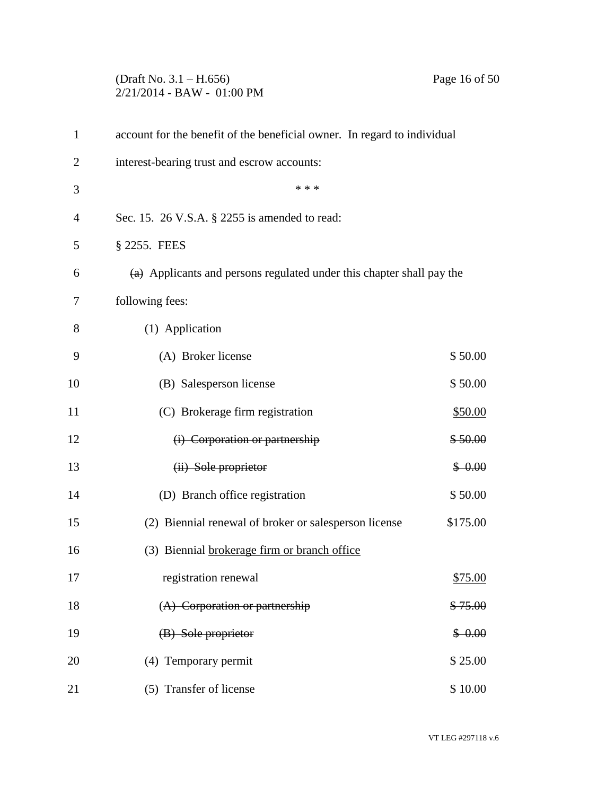# (Draft No. 3.1 – H.656) Page 16 of 50 2/21/2014 - BAW - 01:00 PM

| $\mathbf{1}$   | account for the benefit of the beneficial owner. In regard to individual         |           |
|----------------|----------------------------------------------------------------------------------|-----------|
| $\overline{2}$ | interest-bearing trust and escrow accounts:                                      |           |
| 3              | * * *                                                                            |           |
| 4              | Sec. 15. 26 V.S.A. § 2255 is amended to read:                                    |           |
| 5              | § 2255. FEES                                                                     |           |
| 6              | $\overline{a}$ Applicants and persons regulated under this chapter shall pay the |           |
| 7              | following fees:                                                                  |           |
| 8              | (1) Application                                                                  |           |
| 9              | (A) Broker license                                                               | \$50.00   |
| 10             | (B) Salesperson license                                                          | \$50.00   |
| 11             | (C) Brokerage firm registration                                                  | \$50.00   |
| 12             | (i) Corporation or partnership                                                   | \$50.00   |
| 13             | (ii) Sole proprietor                                                             | $$-0.00$  |
| 14             | (D) Branch office registration                                                   | \$50.00   |
| 15             | (2) Biennial renewal of broker or salesperson license                            | \$175.00  |
| 16             | (3) Biennial brokerage firm or branch office                                     |           |
| 17             | registration renewal                                                             | \$75.00   |
| 18             | (A) Corporation or partnership                                                   | \$75.00   |
| 19             | (B) Sole proprietor                                                              | $$ -0.00$ |
| 20             | (4) Temporary permit                                                             | \$25.00   |
| 21             | (5) Transfer of license                                                          | \$10.00   |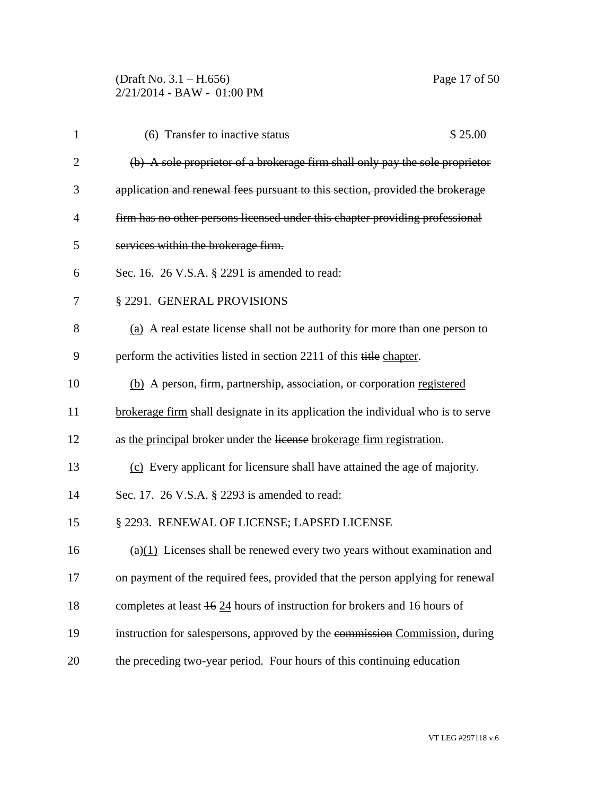(Draft No. 3.1 – H.656) Page 17 of 50 2/21/2014 - BAW - 01:00 PM

| $\mathbf{1}$   | \$25.00<br>(6) Transfer to inactive status                                       |
|----------------|----------------------------------------------------------------------------------|
| $\overline{c}$ | (b) A sole proprietor of a brokerage firm shall only pay the sole proprietor     |
| 3              | application and renewal fees pursuant to this section, provided the brokerage    |
| 4              | firm has no other persons licensed under this chapter providing professional     |
| 5              | services within the brokerage firm.                                              |
| 6              | Sec. 16. 26 V.S.A. § 2291 is amended to read:                                    |
| 7              | § 2291. GENERAL PROVISIONS                                                       |
| 8              | (a) A real estate license shall not be authority for more than one person to     |
| 9              | perform the activities listed in section 2211 of this title chapter.             |
| 10             | (b) A person, firm, partnership, association, or corporation registered          |
| 11             | brokerage firm shall designate in its application the individual who is to serve |
| 12             | as the principal broker under the license brokerage firm registration.           |
| 13             | (c) Every applicant for licensure shall have attained the age of majority.       |
| 14             | Sec. 17. 26 V.S.A. § 2293 is amended to read:                                    |
| 15             | § 2293. RENEWAL OF LICENSE; LAPSED LICENSE                                       |
| 16             | $(a)(1)$ Licenses shall be renewed every two years without examination and       |
| 17             | on payment of the required fees, provided that the person applying for renewal   |
| 18             | completes at least 46.24 hours of instruction for brokers and 16 hours of        |
| 19             | instruction for salespersons, approved by the commission Commission, during      |
| 20             | the preceding two-year period. Four hours of this continuing education           |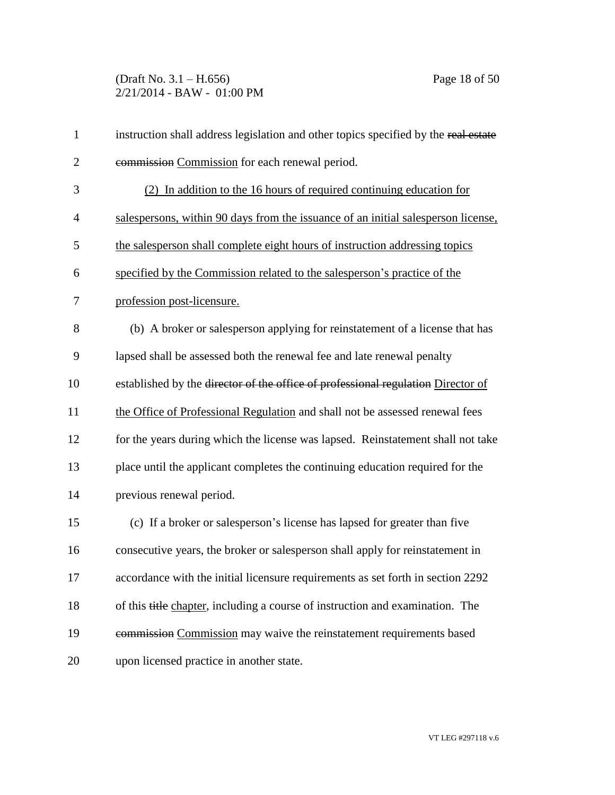(Draft No. 3.1 – H.656) Page 18 of 50 2/21/2014 - BAW - 01:00 PM

| $\mathbf{1}$   | instruction shall address legislation and other topics specified by the real estate |
|----------------|-------------------------------------------------------------------------------------|
| $\overline{2}$ | commission Commission for each renewal period.                                      |
| 3              | (2) In addition to the 16 hours of required continuing education for                |
| $\overline{4}$ | salespersons, within 90 days from the issuance of an initial salesperson license,   |
| 5              | the salesperson shall complete eight hours of instruction addressing topics         |
| 6              | specified by the Commission related to the salesperson's practice of the            |
| 7              | profession post-licensure.                                                          |
| 8              | (b) A broker or salesperson applying for reinstatement of a license that has        |
| 9              | lapsed shall be assessed both the renewal fee and late renewal penalty              |
| 10             | established by the director of the office of professional regulation Director of    |
| 11             | the Office of Professional Regulation and shall not be assessed renewal fees        |
| 12             | for the years during which the license was lapsed. Reinstatement shall not take     |
| 13             | place until the applicant completes the continuing education required for the       |
| 14             | previous renewal period.                                                            |
| 15             | (c) If a broker or salesperson's license has lapsed for greater than five           |
| 16             | consecutive years, the broker or salesperson shall apply for reinstatement in       |
| 17             | accordance with the initial licensure requirements as set forth in section 2292     |
| 18             | of this title chapter, including a course of instruction and examination. The       |
| 19             | commission Commission may waive the reinstatement requirements based                |
| 20             | upon licensed practice in another state.                                            |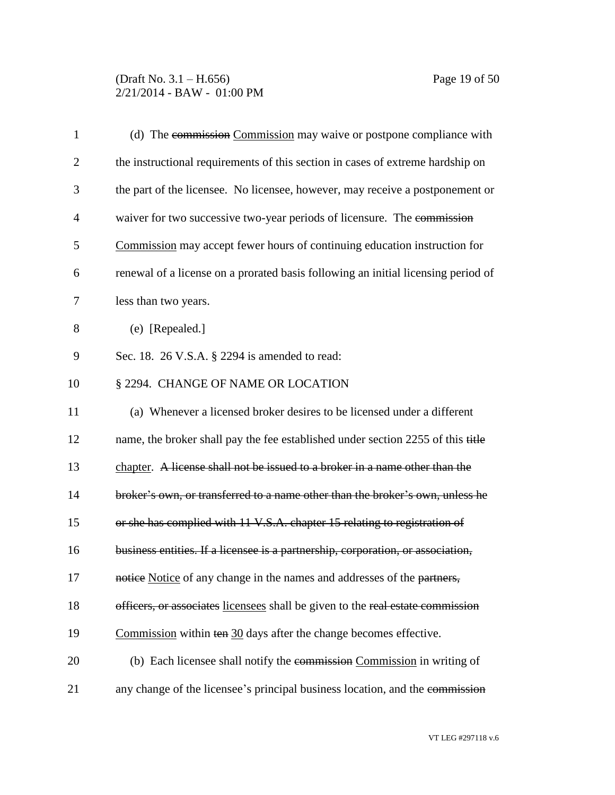| $\mathbf{1}$   | (d) The commission Commission may waive or postpone compliance with               |
|----------------|-----------------------------------------------------------------------------------|
| $\overline{2}$ | the instructional requirements of this section in cases of extreme hardship on    |
| 3              | the part of the licensee. No licensee, however, may receive a postponement or     |
| $\overline{4}$ | waiver for two successive two-year periods of licensure. The commission           |
| 5              | Commission may accept fewer hours of continuing education instruction for         |
| 6              | renewal of a license on a prorated basis following an initial licensing period of |
| 7              | less than two years.                                                              |
| 8              | (e) [Repealed.]                                                                   |
| 9              | Sec. 18. 26 V.S.A. § 2294 is amended to read:                                     |
| 10             | § 2294. CHANGE OF NAME OR LOCATION                                                |
| 11             | (a) Whenever a licensed broker desires to be licensed under a different           |
| 12             | name, the broker shall pay the fee established under section 2255 of this title   |
| 13             | chapter. A license shall not be issued to a broker in a name other than the       |
| 14             | broker's own, or transferred to a name other than the broker's own, unless he     |
| 15             | or she has complied with 11 V.S.A. chapter 15 relating to registration of         |
| 16             | business entities. If a licensee is a partnership, corporation, or association,   |
| 17             | notice Notice of any change in the names and addresses of the partners,           |
| 18             | officers, or associates licensees shall be given to the real estate commission    |
| 19             | Commission within $\text{ten } 30$ days after the change becomes effective.       |
| 20             | (b) Each licensee shall notify the commission Commission in writing of            |
| 21             | any change of the licensee's principal business location, and the commission      |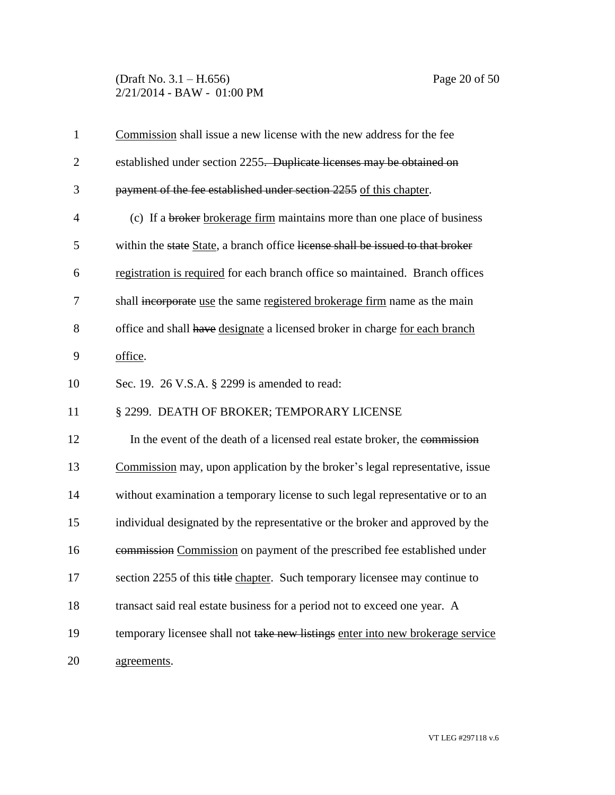(Draft No. 3.1 – H.656) Page 20 of 50 2/21/2014 - BAW - 01:00 PM

| $\mathbf{1}$   | Commission shall issue a new license with the new address for the fee           |
|----------------|---------------------------------------------------------------------------------|
| $\overline{2}$ | established under section 2255. Duplicate licenses may be obtained on           |
| 3              | payment of the fee established under section 2255 of this chapter.              |
| $\overline{4}$ | (c) If a broker brokerage firm maintains more than one place of business        |
| 5              | within the state State, a branch office license shall be issued to that broker  |
| 6              | registration is required for each branch office so maintained. Branch offices   |
| 7              | shall incorporate use the same registered brokerage firm name as the main       |
| 8              | office and shall have designate a licensed broker in charge for each branch     |
| 9              | office.                                                                         |
| 10             | Sec. 19. 26 V.S.A. § 2299 is amended to read:                                   |
| 11             | § 2299. DEATH OF BROKER; TEMPORARY LICENSE                                      |
| 12             | In the event of the death of a licensed real estate broker, the commission      |
| 13             | Commission may, upon application by the broker's legal representative, issue    |
| 14             | without examination a temporary license to such legal representative or to an   |
| 15             | individual designated by the representative or the broker and approved by the   |
| 16             | commission Commission on payment of the prescribed fee established under        |
| 17             | section 2255 of this title chapter. Such temporary licensee may continue to     |
| 18             | transact said real estate business for a period not to exceed one year. A       |
| 19             | temporary licensee shall not take new listings enter into new brokerage service |
| 20             | agreements.                                                                     |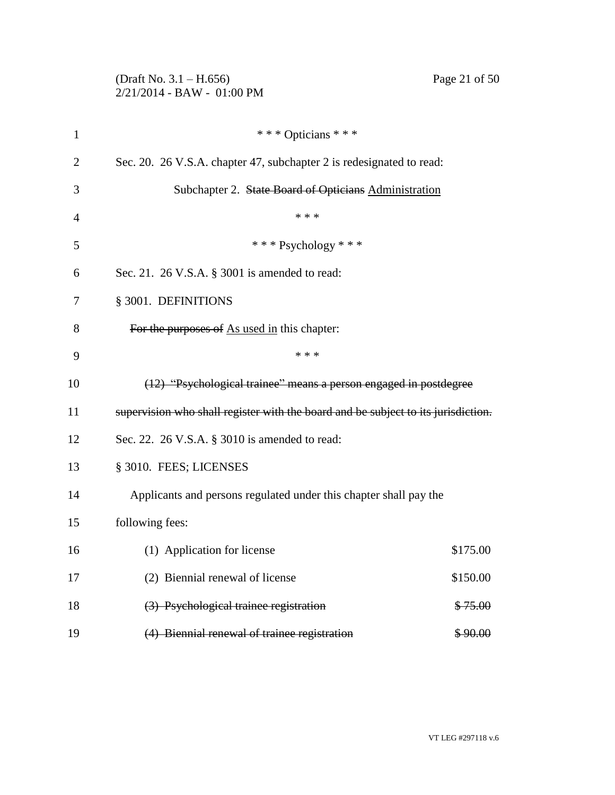|              | (Draft No. $3.1 - H.656$ )<br>Page 21 of 50<br>2/21/2014 - BAW - 01:00 PM         |
|--------------|-----------------------------------------------------------------------------------|
| $\mathbf{1}$ | *** Opticians ***                                                                 |
| 2            | Sec. 20. 26 V.S.A. chapter 47, subchapter 2 is redesignated to read:              |
| 3            | Subchapter 2. State Board of Opticians Administration                             |
| 4            | * * *                                                                             |
| 5            | *** Psychology ***                                                                |
| 6            | Sec. 21. 26 V.S.A. § 3001 is amended to read:                                     |
| 7            | § 3001. DEFINITIONS                                                               |
| 8            | For the purposes of As used in this chapter:                                      |
| 9            | * * *                                                                             |
| 10           | (12) "Psychological trainee" means a person engaged in postdegree                 |
| 11           | supervision who shall register with the board and be subject to its jurisdiction. |
| 12           | Sec. 22. 26 V.S.A. § 3010 is amended to read:                                     |
| 13           | § 3010. FEES; LICENSES                                                            |
| 14           | Applicants and persons regulated under this chapter shall pay the                 |
| 15           | following fees:                                                                   |
| 16           | (1) Application for license<br>\$175.00                                           |
| 17           | (2) Biennial renewal of license<br>\$150.00                                       |
| 18           | (3) Psychological trainee registration<br>\$75.00                                 |
| 19           | (4) Biennial renewal of trainee registration<br>\$90.00                           |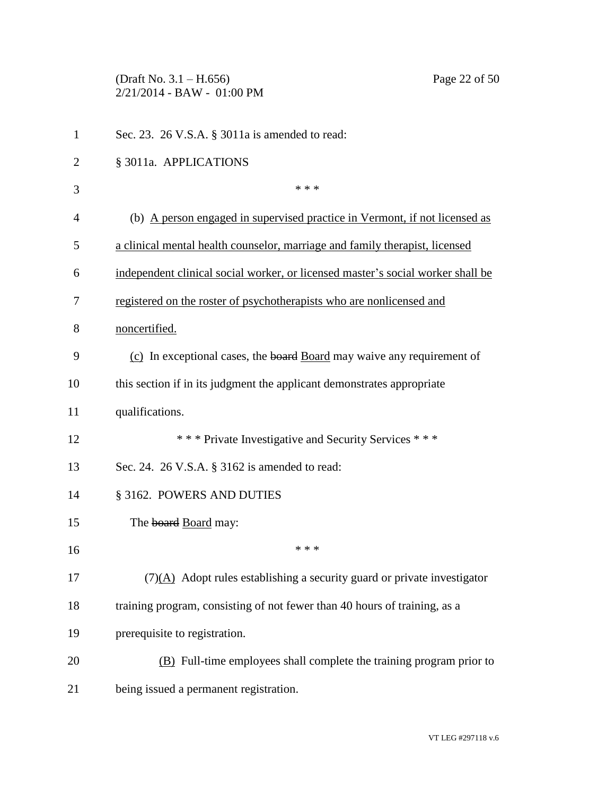(Draft No. 3.1 – H.656) Page 22 of 50 2/21/2014 - BAW - 01:00 PM

| $\mathbf{1}$   | Sec. 23. 26 V.S.A. § 3011a is amended to read:                                         |
|----------------|----------------------------------------------------------------------------------------|
| $\overline{2}$ | § 3011a. APPLICATIONS                                                                  |
| 3              | * * *                                                                                  |
| $\overline{4}$ | (b) A person engaged in supervised practice in Vermont, if not licensed as             |
| 5              | a clinical mental health counselor, marriage and family therapist, licensed            |
| 6              | independent clinical social worker, or licensed master's social worker shall be        |
| 7              | registered on the roster of psychotherapists who are nonlicensed and                   |
| 8              | noncertified.                                                                          |
| 9              | (c) In exceptional cases, the board Board may waive any requirement of                 |
| 10             | this section if in its judgment the applicant demonstrates appropriate                 |
| 11             | qualifications.                                                                        |
| 12             | *** Private Investigative and Security Services ***                                    |
| 13             | Sec. 24. 26 V.S.A. § 3162 is amended to read:                                          |
| 14             | § 3162. POWERS AND DUTIES                                                              |
| 15             | The board Board may:                                                                   |
| 16             | * * *                                                                                  |
| 17             | $(7)(\underline{A})$ Adopt rules establishing a security guard or private investigator |
| 18             | training program, consisting of not fewer than 40 hours of training, as a              |
| 19             | prerequisite to registration.                                                          |
| 20             | (B) Full-time employees shall complete the training program prior to                   |
| 21             | being issued a permanent registration.                                                 |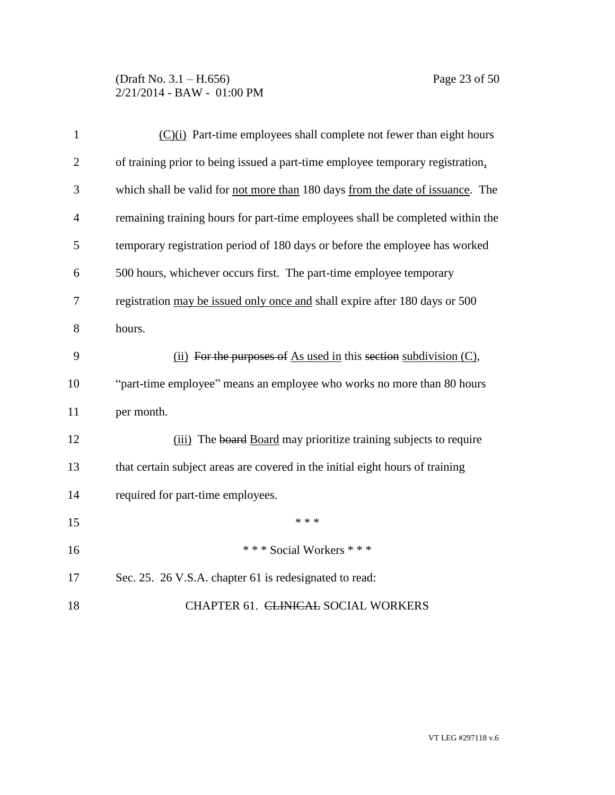### (Draft No. 3.1 – H.656) Page 23 of 50 2/21/2014 - BAW - 01:00 PM

| $\mathbf{1}$   | $(C)(i)$ Part-time employees shall complete not fewer than eight hours         |
|----------------|--------------------------------------------------------------------------------|
| $\overline{2}$ | of training prior to being issued a part-time employee temporary registration, |
| 3              | which shall be valid for not more than 180 days from the date of issuance. The |
| $\overline{4}$ | remaining training hours for part-time employees shall be completed within the |
| 5              | temporary registration period of 180 days or before the employee has worked    |
| 6              | 500 hours, whichever occurs first. The part-time employee temporary            |
| $\overline{7}$ | registration may be issued only once and shall expire after 180 days or 500    |
| 8              | hours.                                                                         |
| 9              | (ii) For the purposes of As used in this section subdivision $(C)$ ,           |
| 10             | "part-time employee" means an employee who works no more than 80 hours         |
| 11             | per month.                                                                     |
| 12             | (iii) The board Board may prioritize training subjects to require              |
| 13             | that certain subject areas are covered in the initial eight hours of training  |
| 14             | required for part-time employees.                                              |
| 15             | * * *                                                                          |
| 16             | *** Social Workers ***                                                         |
| 17             | Sec. 25. 26 V.S.A. chapter 61 is redesignated to read:                         |
| 18             | CHAPTER 61. CLINICAL SOCIAL WORKERS                                            |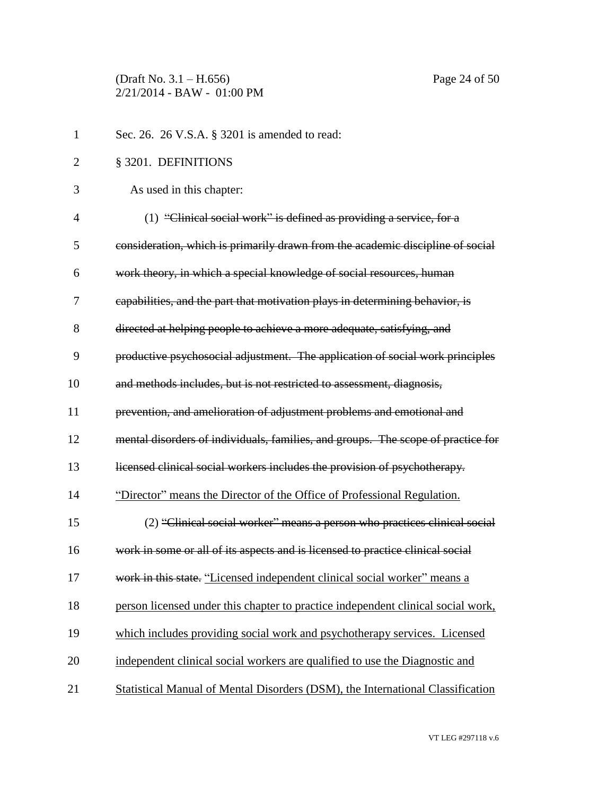(Draft No. 3.1 – H.656) Page 24 of 50 2/21/2014 - BAW - 01:00 PM

| $\mathbf{1}$   | Sec. 26. 26 V.S.A. § 3201 is amended to read:                                    |
|----------------|----------------------------------------------------------------------------------|
| $\overline{2}$ | § 3201. DEFINITIONS                                                              |
| 3              | As used in this chapter:                                                         |
| $\overline{4}$ | (1) "Clinical social work" is defined as providing a service, for a              |
| 5              | consideration, which is primarily drawn from the academic discipline of social   |
| 6              | work theory, in which a special knowledge of social resources, human             |
| 7              | capabilities, and the part that motivation plays in determining behavior, is     |
| 8              | directed at helping people to achieve a more adequate, satisfying, and           |
| 9              | productive psychosocial adjustment. The application of social work principles    |
| 10             | and methods includes, but is not restricted to assessment, diagnosis,            |
| 11             | prevention, and amelioration of adjustment problems and emotional and            |
| 12             | mental disorders of individuals, families, and groups. The scope of practice for |
| 13             | licensed clinical social workers includes the provision of psychotherapy.        |
| 14             | "Director" means the Director of the Office of Professional Regulation.          |
| 15             | (2) "Clinical social worker" means a person who practices clinical social        |
| 16             | work in some or all of its aspects and is licensed to practice clinical social   |
| 17             | work in this state. "Licensed independent clinical social worker" means a        |
| 18             | person licensed under this chapter to practice independent clinical social work, |
| 19             | which includes providing social work and psychotherapy services. Licensed        |
| 20             | independent clinical social workers are qualified to use the Diagnostic and      |
| 21             | Statistical Manual of Mental Disorders (DSM), the International Classification   |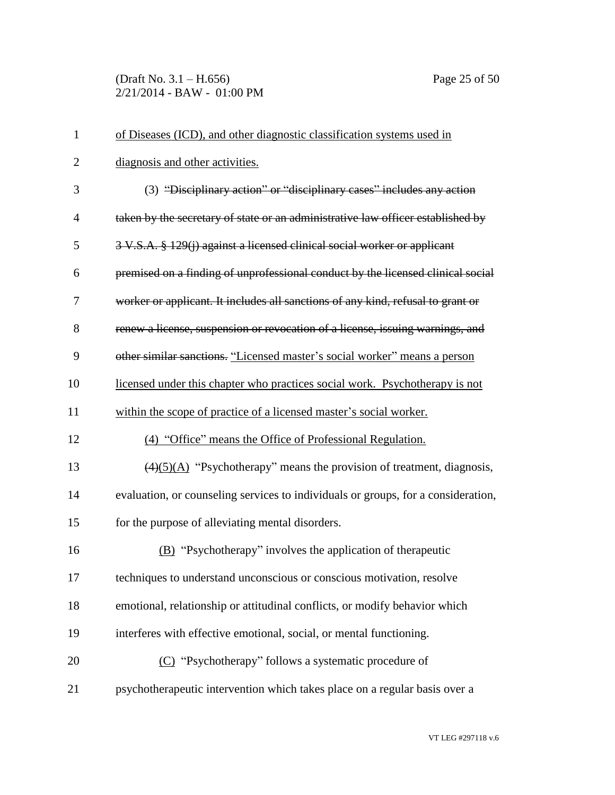(Draft No. 3.1 – H.656) Page 25 of 50 2/21/2014 - BAW - 01:00 PM

| $\mathbf{1}$   | of Diseases (ICD), and other diagnostic classification systems used in                     |
|----------------|--------------------------------------------------------------------------------------------|
| $\overline{2}$ | diagnosis and other activities.                                                            |
| 3              | (3) "Disciplinary action" or "disciplinary cases" includes any action                      |
| $\overline{4}$ | taken by the secretary of state or an administrative law officer established by            |
| 5              | 3 V.S.A. § 129(j) against a licensed clinical social worker or applicant                   |
| 6              | premised on a finding of unprofessional conduct by the licensed clinical social            |
| 7              | worker or applicant. It includes all sanctions of any kind, refusal to grant or            |
| 8              | renew a license, suspension or revocation of a license, issuing warnings, and              |
| 9              | other similar sanctions. "Licensed master's social worker" means a person                  |
| 10             | licensed under this chapter who practices social work. Psychotherapy is not                |
| 11             | within the scope of practice of a licensed master's social worker.                         |
| 12             | (4) "Office" means the Office of Professional Regulation.                                  |
| 13             | $\left(\frac{4}{5}\right)(A)$ "Psychotherapy" means the provision of treatment, diagnosis, |
| 14             | evaluation, or counseling services to individuals or groups, for a consideration,          |
| 15             | for the purpose of alleviating mental disorders.                                           |
| 16             | (B) "Psychotherapy" involves the application of therapeutic                                |
| 17             | techniques to understand unconscious or conscious motivation, resolve                      |
| 18             | emotional, relationship or attitudinal conflicts, or modify behavior which                 |
| 19             | interferes with effective emotional, social, or mental functioning.                        |
| 20             | (C) "Psychotherapy" follows a systematic procedure of                                      |
| 21             | psychotherapeutic intervention which takes place on a regular basis over a                 |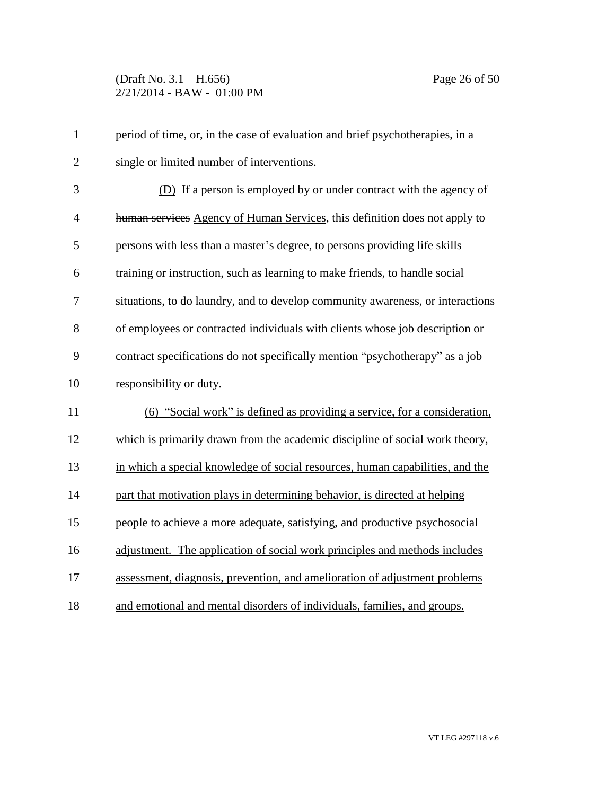| $\mathbf{1}$   | period of time, or, in the case of evaluation and brief psychotherapies, in a  |
|----------------|--------------------------------------------------------------------------------|
| $\overline{2}$ | single or limited number of interventions.                                     |
| 3              | (D) If a person is employed by or under contract with the agency of            |
| 4              | human services Agency of Human Services, this definition does not apply to     |
| 5              | persons with less than a master's degree, to persons providing life skills     |
| 6              | training or instruction, such as learning to make friends, to handle social    |
| 7              | situations, to do laundry, and to develop community awareness, or interactions |
| 8              | of employees or contracted individuals with clients whose job description or   |
| 9              | contract specifications do not specifically mention "psychotherapy" as a job   |
| 10             | responsibility or duty.                                                        |
| 11             | (6) "Social work" is defined as providing a service, for a consideration,      |
| 12             | which is primarily drawn from the academic discipline of social work theory,   |
| 13             | in which a special knowledge of social resources, human capabilities, and the  |
| 14             | part that motivation plays in determining behavior, is directed at helping     |
| 15             | people to achieve a more adequate, satisfying, and productive psychosocial     |
| 16             | adjustment. The application of social work principles and methods includes     |
| 17             | assessment, diagnosis, prevention, and amelioration of adjustment problems     |
| 18             | and emotional and mental disorders of individuals, families, and groups.       |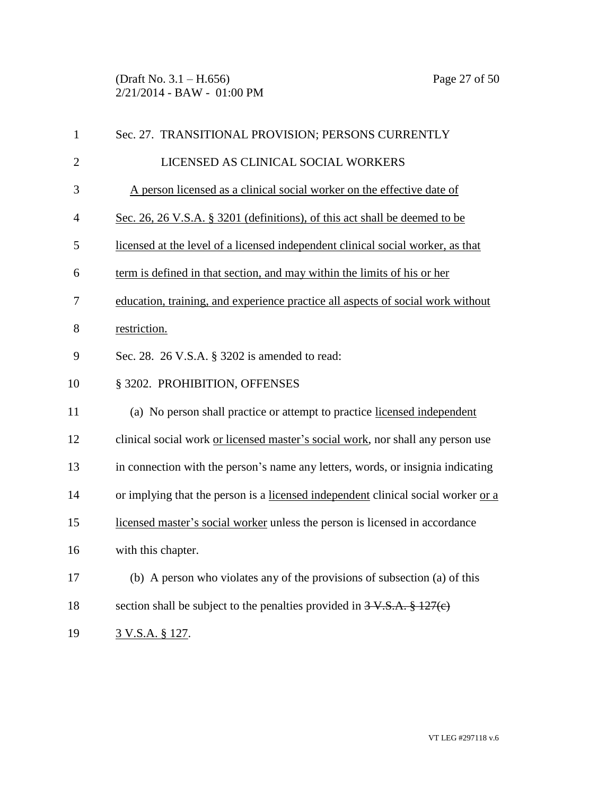(Draft No. 3.1 – H.656) Page 27 of 50 2/21/2014 - BAW - 01:00 PM

| $\mathbf{1}$   | Sec. 27. TRANSITIONAL PROVISION; PERSONS CURRENTLY                                |
|----------------|-----------------------------------------------------------------------------------|
| $\overline{2}$ | LICENSED AS CLINICAL SOCIAL WORKERS                                               |
| 3              | A person licensed as a clinical social worker on the effective date of            |
| $\overline{4}$ | Sec. 26, 26 V.S.A. § 3201 (definitions), of this act shall be deemed to be        |
| 5              | licensed at the level of a licensed independent clinical social worker, as that   |
| 6              | term is defined in that section, and may within the limits of his or her          |
| 7              | education, training, and experience practice all aspects of social work without   |
| 8              | restriction.                                                                      |
| 9              | Sec. 28. 26 V.S.A. § 3202 is amended to read:                                     |
| 10             | § 3202. PROHIBITION, OFFENSES                                                     |
| 11             | (a) No person shall practice or attempt to practice licensed independent          |
| 12             | clinical social work or licensed master's social work, nor shall any person use   |
| 13             | in connection with the person's name any letters, words, or insignia indicating   |
| 14             | or implying that the person is a licensed independent clinical social worker or a |
| 15             | licensed master's social worker unless the person is licensed in accordance       |
| 16             | with this chapter.                                                                |
| 17             | (b) A person who violates any of the provisions of subsection (a) of this         |
| 18             | section shall be subject to the penalties provided in $3 \text{ V.S.A.}$ \$127(e) |
| 19             | 3 V.S.A. § 127.                                                                   |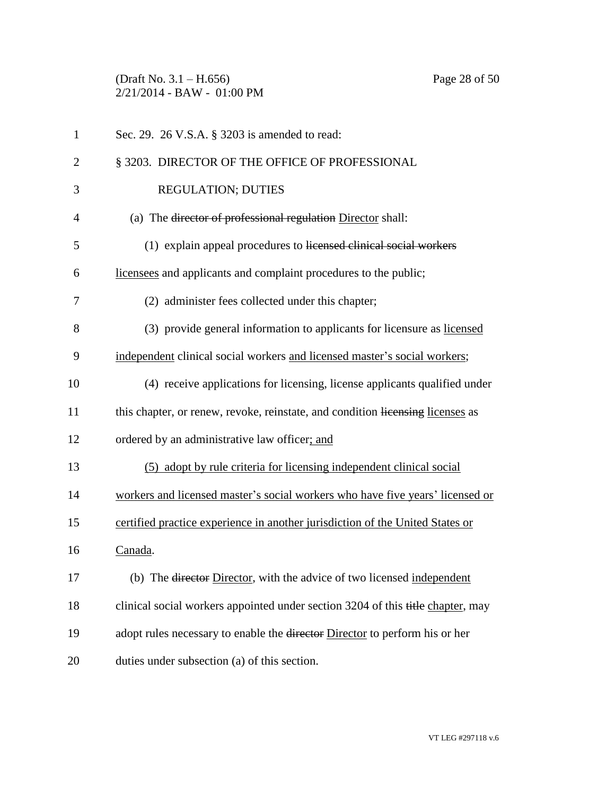(Draft No. 3.1 – H.656) Page 28 of 50 2/21/2014 - BAW - 01:00 PM

| 1              | Sec. 29. 26 V.S.A. § 3203 is amended to read:                                          |
|----------------|----------------------------------------------------------------------------------------|
| $\overline{2}$ | § 3203. DIRECTOR OF THE OFFICE OF PROFESSIONAL                                         |
| 3              | <b>REGULATION; DUTIES</b>                                                              |
| $\overline{4}$ | (a) The director of professional regulation Director shall:                            |
| 5              | (1) explain appeal procedures to licensed clinical social workers                      |
| 6              | licensees and applicants and complaint procedures to the public;                       |
| 7              | (2) administer fees collected under this chapter;                                      |
| 8              | (3) provide general information to applicants for licensure as licensed                |
| 9              | independent clinical social workers and licensed master's social workers;              |
| 10             | (4) receive applications for licensing, license applicants qualified under             |
| 11             | this chapter, or renew, revoke, reinstate, and condition licensing licenses as         |
| 12             | ordered by an administrative law officer; and                                          |
| 13             | (5) adopt by rule criteria for licensing independent clinical social                   |
| 14             | workers and licensed master's social workers who have five years' licensed or          |
| 15             | certified practice experience in another jurisdiction of the United States or          |
| 16             | Canada.                                                                                |
| 17             | (b) The director Director, with the advice of two licensed independent                 |
| 18             | clinical social workers appointed under section 3204 of this title chapter, may        |
| 19             | adopt rules necessary to enable the <del>director</del> Director to perform his or her |
| 20             | duties under subsection (a) of this section.                                           |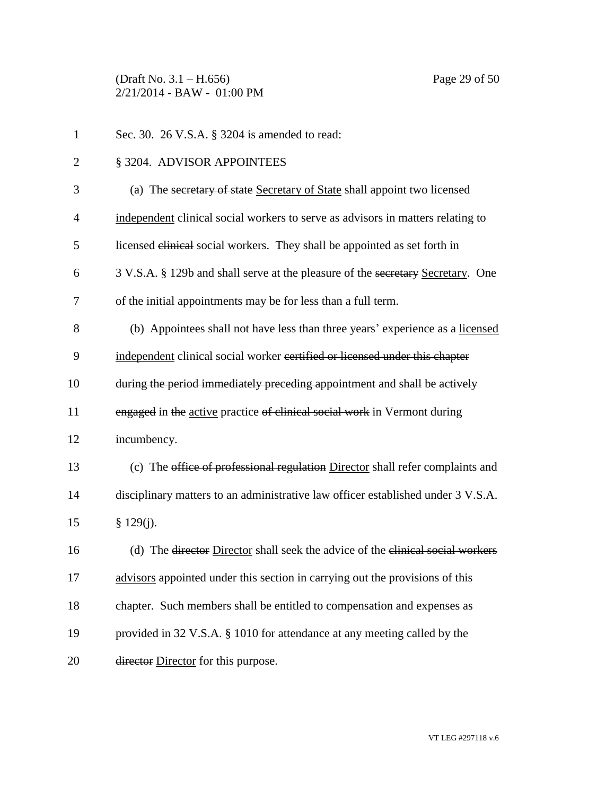(Draft No. 3.1 – H.656) Page 29 of 50 2/21/2014 - BAW - 01:00 PM

| $\mathbf{1}$   | Sec. 30. 26 V.S.A. § 3204 is amended to read:                                    |
|----------------|----------------------------------------------------------------------------------|
| $\overline{c}$ | § 3204. ADVISOR APPOINTEES                                                       |
| 3              | (a) The secretary of state Secretary of State shall appoint two licensed         |
| $\overline{4}$ | independent clinical social workers to serve as advisors in matters relating to  |
| 5              | licensed clinical social workers. They shall be appointed as set forth in        |
| 6              | 3 V.S.A. § 129b and shall serve at the pleasure of the secretary Secretary. One  |
| 7              | of the initial appointments may be for less than a full term.                    |
| 8              | (b) Appointees shall not have less than three years' experience as a licensed    |
| 9              | independent clinical social worker certified or licensed under this chapter      |
| 10             | during the period immediately preceding appointment and shall be actively        |
| 11             | engaged in the active practice of clinical social work in Vermont during         |
| 12             | incumbency.                                                                      |
| 13             | (c) The office of professional regulation Director shall refer complaints and    |
| 14             | disciplinary matters to an administrative law officer established under 3 V.S.A. |
| 15             | $§$ 129(j).                                                                      |
| 16             | (d) The director Director shall seek the advice of the clinical social workers   |
| 17             | advisors appointed under this section in carrying out the provisions of this     |
| 18             | chapter. Such members shall be entitled to compensation and expenses as          |
| 19             | provided in 32 V.S.A. § 1010 for attendance at any meeting called by the         |
| 20             | director Director for this purpose.                                              |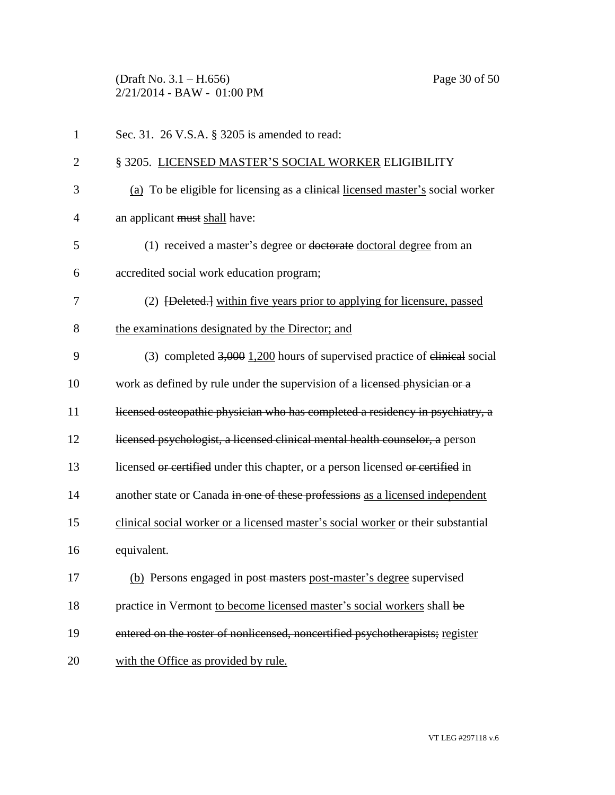(Draft No. 3.1 – H.656) Page 30 of 50 2/21/2014 - BAW - 01:00 PM

| $\mathbf{1}$   | Sec. 31. 26 V.S.A. § 3205 is amended to read:                                       |
|----------------|-------------------------------------------------------------------------------------|
| $\overline{2}$ | § 3205. LICENSED MASTER'S SOCIAL WORKER ELIGIBILITY                                 |
| 3              | (a) To be eligible for licensing as a clinical licensed master's social worker      |
| $\overline{4}$ | an applicant must shall have:                                                       |
| 5              | (1) received a master's degree or doctorate doctoral degree from an                 |
| 6              | accredited social work education program;                                           |
| 7              | (2) <del>[Deleted.]</del> within five years prior to applying for licensure, passed |
| 8              | the examinations designated by the Director; and                                    |
| 9              | (3) completed $3,000$ 1,200 hours of supervised practice of elimical social         |
| 10             | work as defined by rule under the supervision of a licensed physician or a          |
| 11             | licensed osteopathic physician who has completed a residency in psychiatry, a       |
| 12             | licensed psychologist, a licensed clinical mental health counselor, a person        |
| 13             | licensed or certified under this chapter, or a person licensed or certified in      |
| 14             | another state or Canada in one of these professions as a licensed independent       |
| 15             | clinical social worker or a licensed master's social worker or their substantial    |
| 16             | equivalent.                                                                         |
| 17             | (b) Persons engaged in post masters post-master's degree supervised                 |
| 18             | practice in Vermont to become licensed master's social workers shall be             |
| 19             | entered on the roster of nonlicensed, noncertified psychotherapists; register       |
| 20             | with the Office as provided by rule.                                                |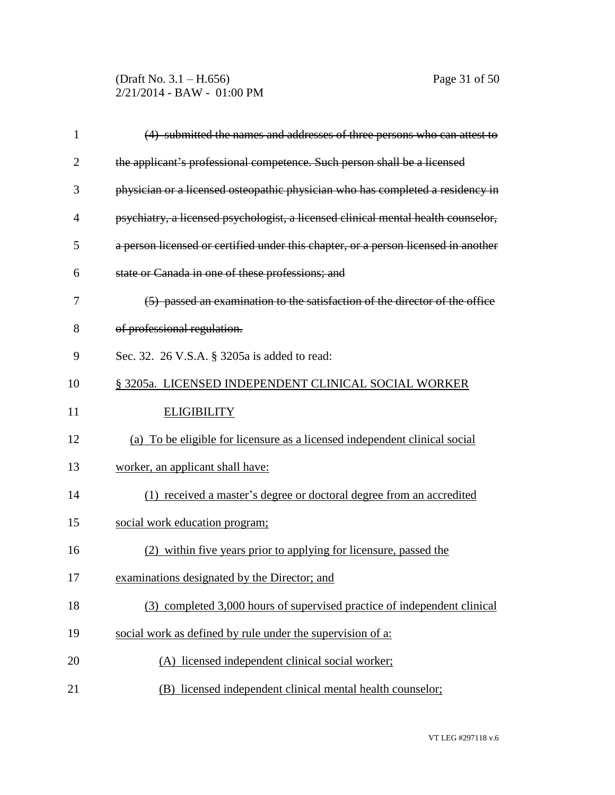(Draft No. 3.1 – H.656) Page 31 of 50 2/21/2014 - BAW - 01:00 PM

| $\mathbf{1}$   | (4) submitted the names and addresses of three persons who can attest to           |
|----------------|------------------------------------------------------------------------------------|
| $\overline{2}$ | the applicant's professional competence. Such person shall be a licensed           |
| 3              | physician or a licensed osteopathic physician who has completed a residency in     |
| $\overline{4}$ | psychiatry, a licensed psychologist, a licensed clinical mental health counselor,  |
| 5              | a person licensed or certified under this chapter, or a person licensed in another |
| 6              | state or Canada in one of these professions; and                                   |
| 7              | (5) passed an examination to the satisfaction of the director of the office        |
| 8              | of professional regulation.                                                        |
| 9              | Sec. 32. 26 V.S.A. § 3205a is added to read:                                       |
| 10             | § 3205a. LICENSED INDEPENDENT CLINICAL SOCIAL WORKER                               |
| 11             | <b>ELIGIBILITY</b>                                                                 |
| 12             | (a) To be eligible for licensure as a licensed independent clinical social         |
| 13             | worker, an applicant shall have:                                                   |
| 14             | (1) received a master's degree or doctoral degree from an accredited               |
| 15             | social work education program;                                                     |
| 16             | (2) within five years prior to applying for licensure, passed the                  |
| 17             | examinations designated by the Director; and                                       |
| 18             | (3) completed 3,000 hours of supervised practice of independent clinical           |
| 19             | social work as defined by rule under the supervision of a:                         |
| 20             | (A) licensed independent clinical social worker;                                   |
| 21             | (B) licensed independent clinical mental health counselor;                         |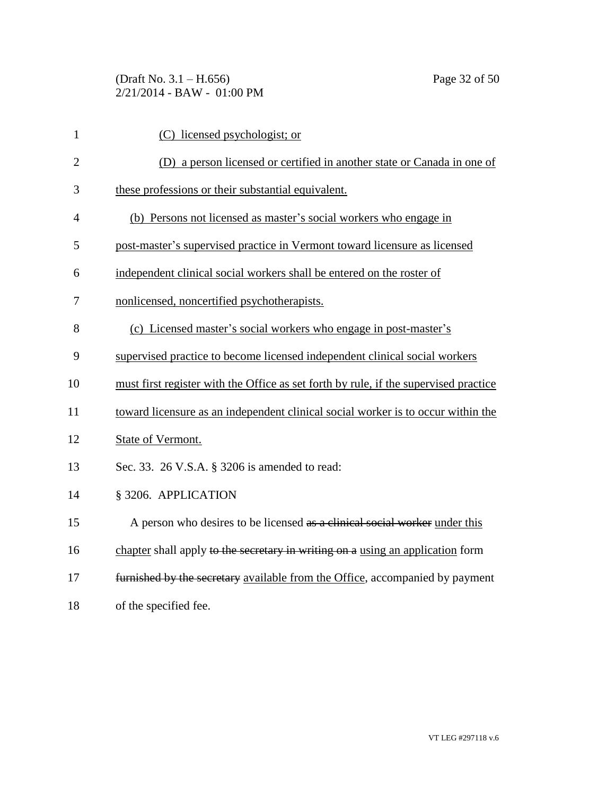| $\mathbf{1}$   | (C) licensed psychologist; or                                                        |
|----------------|--------------------------------------------------------------------------------------|
| $\overline{2}$ | (D) a person licensed or certified in another state or Canada in one of              |
| 3              | these professions or their substantial equivalent.                                   |
| 4              | (b) Persons not licensed as master's social workers who engage in                    |
| 5              | post-master's supervised practice in Vermont toward licensure as licensed            |
| 6              | independent clinical social workers shall be entered on the roster of                |
| 7              | nonlicensed, noncertified psychotherapists.                                          |
| 8              | (c) Licensed master's social workers who engage in post-master's                     |
| 9              | supervised practice to become licensed independent clinical social workers           |
| 10             | must first register with the Office as set forth by rule, if the supervised practice |
| 11             | toward licensure as an independent clinical social worker is to occur within the     |
| 12             | State of Vermont.                                                                    |
| 13             | Sec. 33. 26 V.S.A. § 3206 is amended to read:                                        |
| 14             | § 3206. APPLICATION                                                                  |
| 15             | A person who desires to be licensed as a clinical social worker under this           |
| 16             | chapter shall apply to the secretary in writing on a using an application form       |
| 17             | furnished by the secretary available from the Office, accompanied by payment         |
| 18             | of the specified fee.                                                                |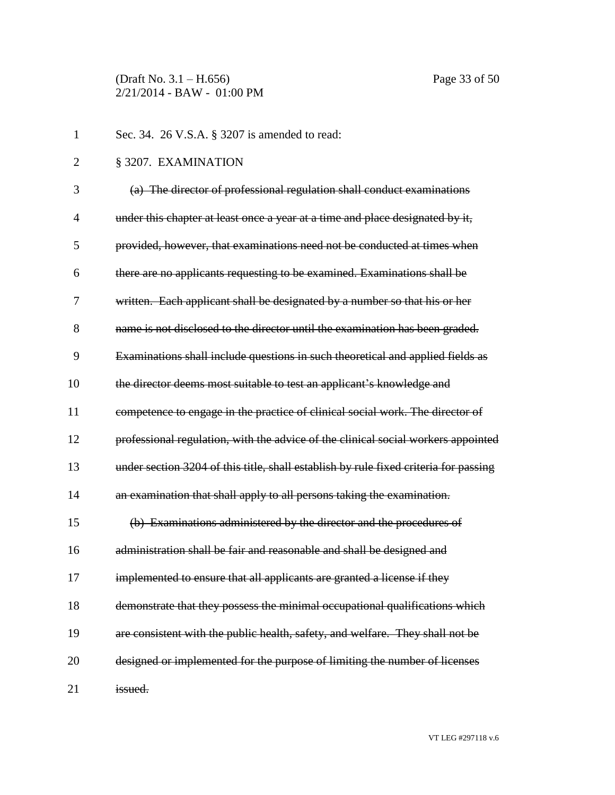(Draft No. 3.1 – H.656) Page 33 of 50 2/21/2014 - BAW - 01:00 PM

| $\mathbf{1}$   | Sec. 34. 26 V.S.A. § 3207 is amended to read:                                        |
|----------------|--------------------------------------------------------------------------------------|
| $\overline{2}$ | § 3207. EXAMINATION                                                                  |
| 3              | (a) The director of professional regulation shall conduct examinations               |
| 4              | under this chapter at least once a year at a time and place designated by it,        |
| 5              | provided, however, that examinations need not be conducted at times when             |
| 6              | there are no applicants requesting to be examined. Examinations shall be             |
| 7              | written. Each applicant shall be designated by a number so that his or her           |
| 8              | name is not disclosed to the director until the examination has been graded.         |
| 9              | Examinations shall include questions in such theoretical and applied fields as       |
| 10             | the director deems most suitable to test an applicant's knowledge and                |
| 11             | competence to engage in the practice of clinical social work. The director of        |
| 12             | professional regulation, with the advice of the clinical social workers appointed    |
| 13             | under section 3204 of this title, shall establish by rule fixed criteria for passing |
| 14             | an examination that shall apply to all persons taking the examination.               |
| 15             | (b) Examinations administered by the director and the procedures of                  |
| 16             | administration shall be fair and reasonable and shall be designed and                |
| 17             | implemented to ensure that all applicants are granted a license if they              |
| 18             | demonstrate that they possess the minimal occupational qualifications which          |
| 19             | are consistent with the public health, safety, and welfare. They shall not be        |
| 20             | designed or implemented for the purpose of limiting the number of licenses           |
| 21             | issued.                                                                              |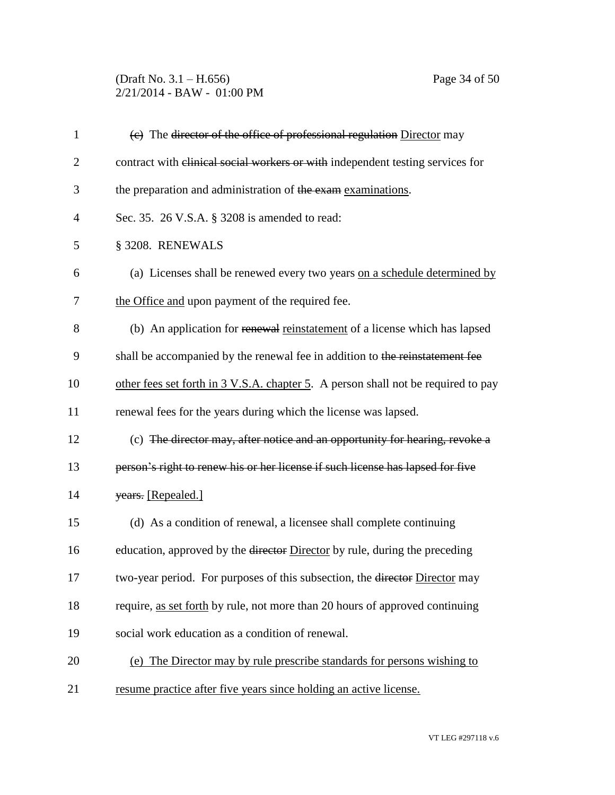(Draft No. 3.1 – H.656) Page 34 of 50 2/21/2014 - BAW - 01:00 PM

| $\mathbf{1}$   | (e) The director of the office of professional regulation Director may            |
|----------------|-----------------------------------------------------------------------------------|
| $\overline{2}$ | contract with elinical social workers or with independent testing services for    |
| 3              | the preparation and administration of the exam examinations.                      |
| 4              | Sec. 35. 26 V.S.A. § 3208 is amended to read:                                     |
| 5              | § 3208. RENEWALS                                                                  |
| 6              | (a) Licenses shall be renewed every two years on a schedule determined by         |
| 7              | the Office and upon payment of the required fee.                                  |
| 8              | (b) An application for renewal reinstatement of a license which has lapsed        |
| 9              | shall be accompanied by the renewal fee in addition to the reinstatement fee      |
| 10             | other fees set forth in 3 V.S.A. chapter 5. A person shall not be required to pay |
| 11             | renewal fees for the years during which the license was lapsed.                   |
| 12             | (c) The director may, after notice and an opportunity for hearing, revoke a       |
| 13             | person's right to renew his or her license if such license has lapsed for five    |
| 14             | years. [Repealed.]                                                                |
| 15             | (d) As a condition of renewal, a licensee shall complete continuing               |
| 16             | education, approved by the director Director by rule, during the preceding        |
| 17             | two-year period. For purposes of this subsection, the director Director may       |
| 18             | require, as set forth by rule, not more than 20 hours of approved continuing      |
| 19             | social work education as a condition of renewal.                                  |
| 20             | (e) The Director may by rule prescribe standards for persons wishing to           |
| 21             | resume practice after five years since holding an active license.                 |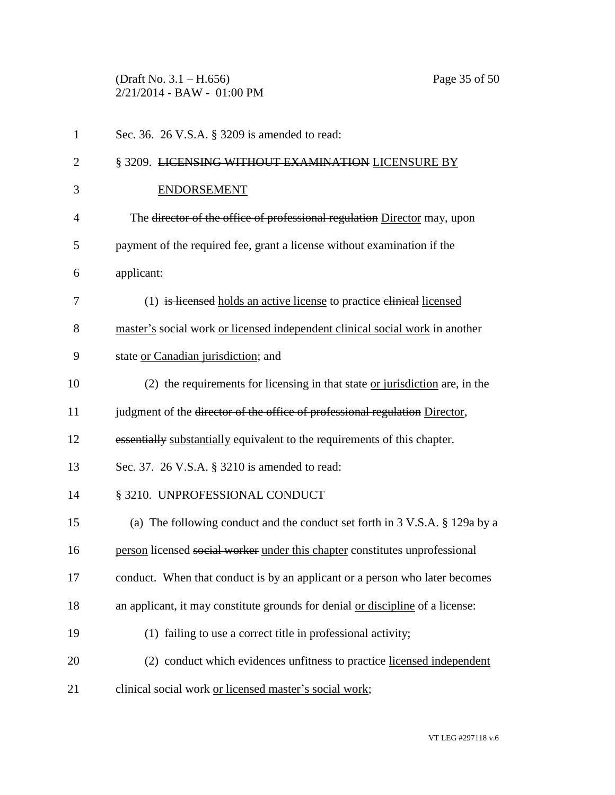(Draft No. 3.1 – H.656) Page 35 of 50 2/21/2014 - BAW - 01:00 PM

| $\mathbf{1}$   | Sec. 36. 26 V.S.A. § 3209 is amended to read:                                  |
|----------------|--------------------------------------------------------------------------------|
| $\overline{2}$ | § 3209. LICENSING WITHOUT EXAMINATION LICENSURE BY                             |
| 3              | <b>ENDORSEMENT</b>                                                             |
| $\overline{4}$ | The director of the office of professional regulation Director may, upon       |
| 5              | payment of the required fee, grant a license without examination if the        |
| 6              | applicant:                                                                     |
| 7              | (1) is licensed holds an active license to practice elinical licensed          |
| 8              | master's social work or licensed independent clinical social work in another   |
| 9              | state or Canadian jurisdiction; and                                            |
| 10             | $(2)$ the requirements for licensing in that state or jurisdiction are, in the |
| 11             | judgment of the director of the office of professional regulation Director,    |
| 12             | essentially substantially equivalent to the requirements of this chapter.      |
| 13             | Sec. 37. 26 V.S.A. § 3210 is amended to read:                                  |
| 14             | § 3210. UNPROFESSIONAL CONDUCT                                                 |
| 15             | (a) The following conduct and the conduct set forth in 3 V.S.A. § 129a by a    |
| 16             | person licensed social worker under this chapter constitutes unprofessional    |
| 17             | conduct. When that conduct is by an applicant or a person who later becomes    |
| 18             | an applicant, it may constitute grounds for denial or discipline of a license: |
| 19             | (1) failing to use a correct title in professional activity;                   |
| 20             | (2) conduct which evidences unfitness to practice licensed independent         |
| 21             | clinical social work or licensed master's social work;                         |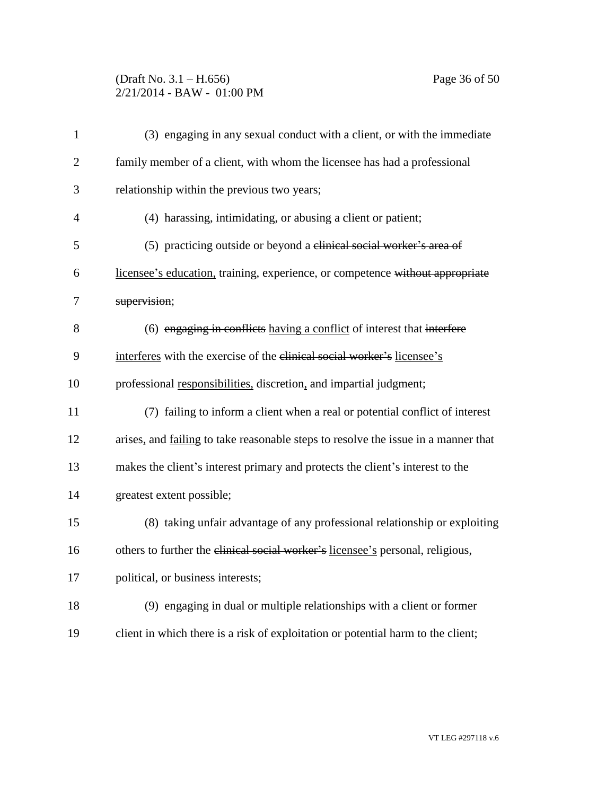# (Draft No. 3.1 – H.656) Page 36 of 50 2/21/2014 - BAW - 01:00 PM

| $\mathbf{1}$   | (3) engaging in any sexual conduct with a client, or with the immediate            |
|----------------|------------------------------------------------------------------------------------|
| $\overline{2}$ | family member of a client, with whom the licensee has had a professional           |
| 3              | relationship within the previous two years;                                        |
| $\overline{4}$ | (4) harassing, intimidating, or abusing a client or patient;                       |
| 5              | (5) practicing outside or beyond a clinical social worker's area of                |
| 6              | licensee's education, training, experience, or competence without appropriate      |
| 7              | supervision;                                                                       |
| 8              | (6) engaging in conflicts having a conflict of interest that interfere             |
| 9              | interferes with the exercise of the elinical social worker's licensee's            |
| 10             | professional responsibilities, discretion, and impartial judgment;                 |
| 11             | (7) failing to inform a client when a real or potential conflict of interest       |
| 12             | arises, and failing to take reasonable steps to resolve the issue in a manner that |
| 13             | makes the client's interest primary and protects the client's interest to the      |
| 14             | greatest extent possible;                                                          |
| 15             | (8) taking unfair advantage of any professional relationship or exploiting         |
| 16             | others to further the clinical social worker's licensee's personal, religious,     |
| 17             | political, or business interests;                                                  |
| 18             | (9) engaging in dual or multiple relationships with a client or former             |
| 19             | client in which there is a risk of exploitation or potential harm to the client;   |
|                |                                                                                    |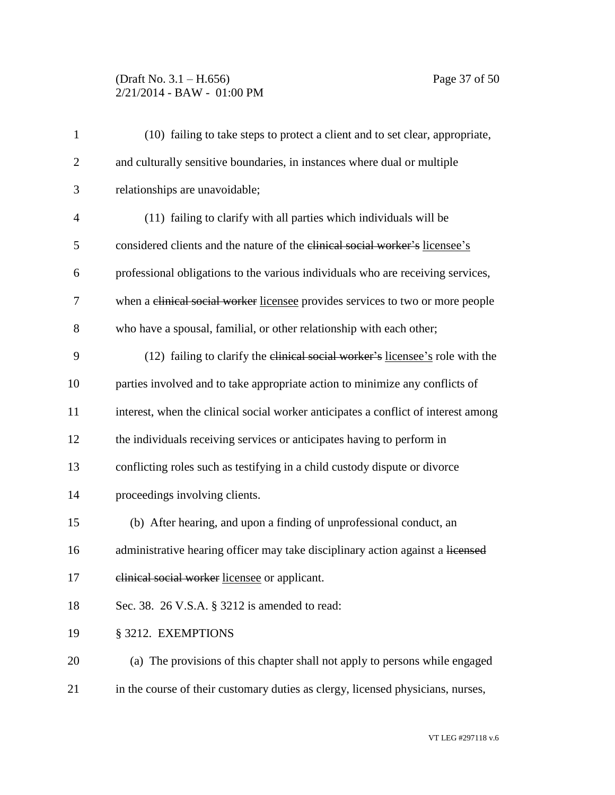# (Draft No. 3.1 – H.656) Page 37 of 50 2/21/2014 - BAW - 01:00 PM

| $\mathbf{1}$   | (10) failing to take steps to protect a client and to set clear, appropriate,      |
|----------------|------------------------------------------------------------------------------------|
| $\mathbf{2}$   | and culturally sensitive boundaries, in instances where dual or multiple           |
| 3              | relationships are unavoidable;                                                     |
| $\overline{4}$ | (11) failing to clarify with all parties which individuals will be                 |
| 5              | considered clients and the nature of the clinical social worker's licensee's       |
| 6              | professional obligations to the various individuals who are receiving services,    |
| 7              | when a clinical social worker licensee provides services to two or more people     |
| 8              | who have a spousal, familial, or other relationship with each other;               |
| 9              | (12) failing to clarify the elinical social worker's licensee's role with the      |
| 10             | parties involved and to take appropriate action to minimize any conflicts of       |
| 11             | interest, when the clinical social worker anticipates a conflict of interest among |
| 12             | the individuals receiving services or anticipates having to perform in             |
| 13             | conflicting roles such as testifying in a child custody dispute or divorce         |
| 14             | proceedings involving clients.                                                     |
| 15             | (b) After hearing, and upon a finding of unprofessional conduct, an                |
| 16             | administrative hearing officer may take disciplinary action against a licensed     |
| 17             | elinical social worker licensee or applicant.                                      |
| 18             | Sec. 38. 26 V.S.A. § 3212 is amended to read:                                      |
| 19             | § 3212. EXEMPTIONS                                                                 |
| 20             | (a) The provisions of this chapter shall not apply to persons while engaged        |
| 21             | in the course of their customary duties as clergy, licensed physicians, nurses,    |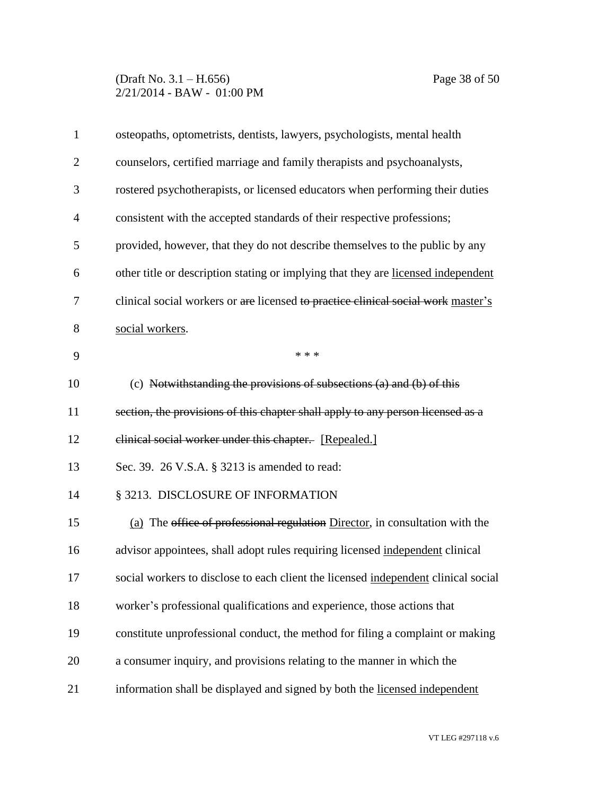# (Draft No. 3.1 – H.656) Page 38 of 50 2/21/2014 - BAW - 01:00 PM

| $\mathbf{1}$   | osteopaths, optometrists, dentists, lawyers, psychologists, mental health          |
|----------------|------------------------------------------------------------------------------------|
| $\overline{2}$ | counselors, certified marriage and family therapists and psychoanalysts,           |
| 3              | rostered psychotherapists, or licensed educators when performing their duties      |
| 4              | consistent with the accepted standards of their respective professions;            |
| 5              | provided, however, that they do not describe themselves to the public by any       |
| 6              | other title or description stating or implying that they are licensed independent  |
| 7              | clinical social workers or are licensed to practice clinical social work master's  |
| 8              | social workers.                                                                    |
| 9              | * * *                                                                              |
| 10             | (c) Notwithstanding the provisions of subsections (a) and (b) of this              |
| 11             | section, the provisions of this chapter shall apply to any person licensed as a    |
| 12             | elinical social worker under this chapter. [Repealed.]                             |
| 13             | Sec. 39. 26 V.S.A. § 3213 is amended to read:                                      |
| 14             | § 3213. DISCLOSURE OF INFORMATION                                                  |
| 15             | (a) The office of professional regulation Director, in consultation with the       |
| 16             | advisor appointees, shall adopt rules requiring licensed independent clinical      |
| 17             | social workers to disclose to each client the licensed independent clinical social |
| 18             | worker's professional qualifications and experience, those actions that            |
| 19             | constitute unprofessional conduct, the method for filing a complaint or making     |
| 20             | a consumer inquiry, and provisions relating to the manner in which the             |
| 21             | information shall be displayed and signed by both the licensed independent         |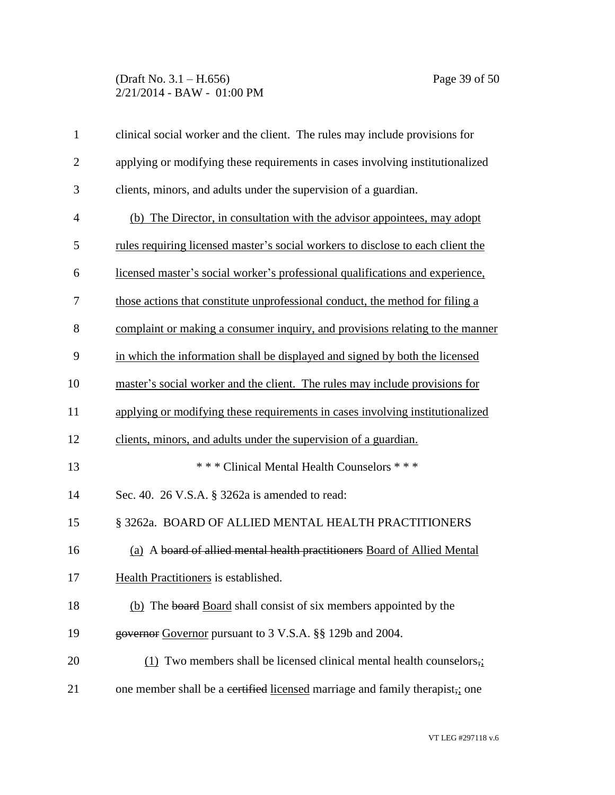# (Draft No. 3.1 – H.656) Page 39 of 50 2/21/2014 - BAW - 01:00 PM

| $\mathbf{1}$   | clinical social worker and the client. The rules may include provisions for     |
|----------------|---------------------------------------------------------------------------------|
| $\overline{2}$ | applying or modifying these requirements in cases involving institutionalized   |
| 3              | clients, minors, and adults under the supervision of a guardian.                |
| $\overline{4}$ | (b) The Director, in consultation with the advisor appointees, may adopt        |
| 5              | rules requiring licensed master's social workers to disclose to each client the |
| 6              | licensed master's social worker's professional qualifications and experience,   |
| 7              | those actions that constitute unprofessional conduct, the method for filing a   |
| 8              | complaint or making a consumer inquiry, and provisions relating to the manner   |
| 9              | in which the information shall be displayed and signed by both the licensed     |
| 10             | master's social worker and the client. The rules may include provisions for     |
| 11             | applying or modifying these requirements in cases involving institutionalized   |
| 12             | clients, minors, and adults under the supervision of a guardian.                |
| 13             | *** Clinical Mental Health Counselors ***                                       |
| 14             | Sec. 40. 26 V.S.A. § 3262a is amended to read:                                  |
| 15             | § 3262a. BOARD OF ALLIED MENTAL HEALTH PRACTITIONERS                            |
| 16             | (a) A board of allied mental health practitioners Board of Allied Mental        |
| 17             | Health Practitioners is established.                                            |
| 18             | (b) The board Board shall consist of six members appointed by the               |
| 19             | governor Governor pursuant to 3 V.S.A. §§ 129b and 2004.                        |
| 20             | $(1)$ Two members shall be licensed clinical mental health counselors,          |
| 21             | one member shall be a certified licensed marriage and family therapist, i one   |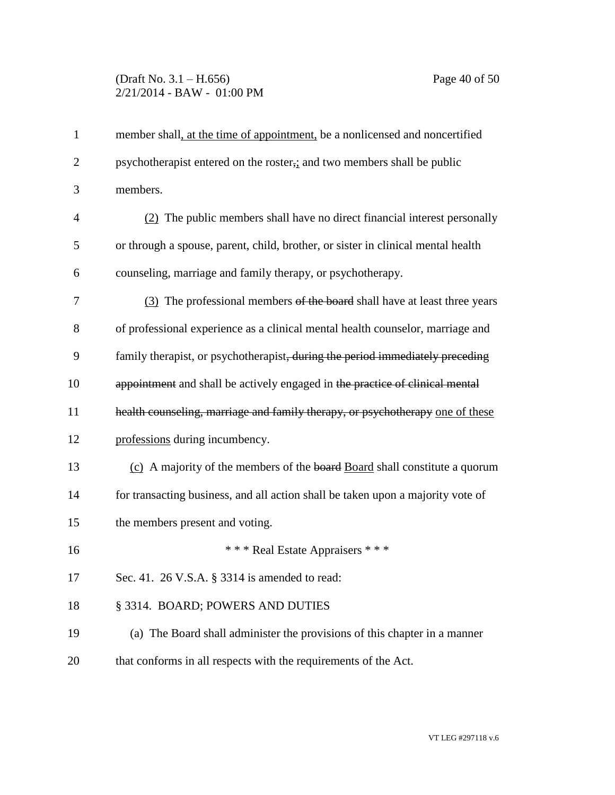### (Draft No. 3.1 – H.656) Page 40 of 50 2/21/2014 - BAW - 01:00 PM

| $\mathbf{1}$   | member shall, at the time of appointment, be a nonlicensed and noncertified      |
|----------------|----------------------------------------------------------------------------------|
| $\overline{2}$ | psychotherapist entered on the roster, and two members shall be public           |
| 3              | members.                                                                         |
| $\overline{4}$ | (2) The public members shall have no direct financial interest personally        |
| 5              | or through a spouse, parent, child, brother, or sister in clinical mental health |
| 6              | counseling, marriage and family therapy, or psychotherapy.                       |
| 7              | (3) The professional members of the board shall have at least three years        |
| 8              | of professional experience as a clinical mental health counselor, marriage and   |
| 9              | family therapist, or psychotherapist, during the period immediately preceding    |
| 10             | appointment and shall be actively engaged in the practice of clinical mental     |
| 11             | health counseling, marriage and family therapy, or psychotherapy one of these    |
| 12             | professions during incumbency.                                                   |
| 13             | (c) A majority of the members of the board Board shall constitute a quorum       |
| 14             | for transacting business, and all action shall be taken upon a majority vote of  |
| 15             | the members present and voting.                                                  |
| 16             | *** Real Estate Appraisers ***                                                   |
| 17             | Sec. 41. 26 V.S.A. § 3314 is amended to read:                                    |
| 18             | § 3314. BOARD; POWERS AND DUTIES                                                 |
| 19             | (a) The Board shall administer the provisions of this chapter in a manner        |
| 20             | that conforms in all respects with the requirements of the Act.                  |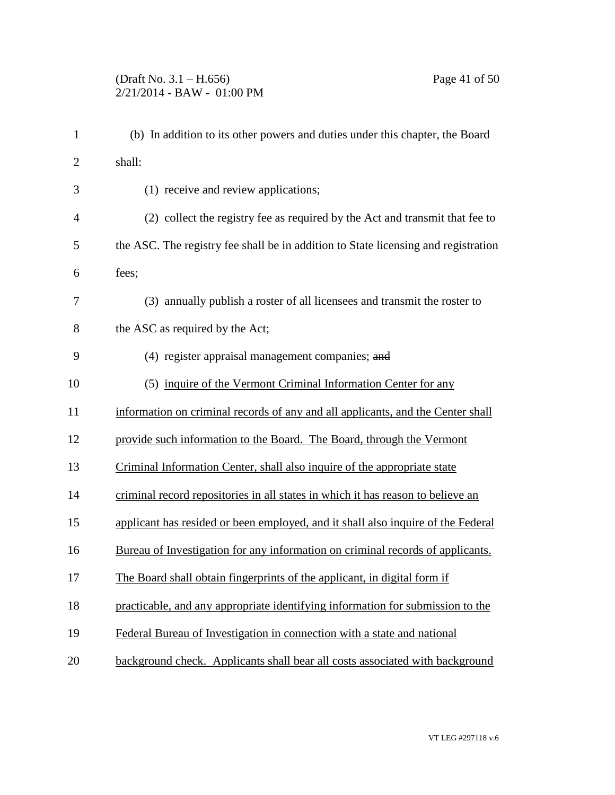| 1              | (b) In addition to its other powers and duties under this chapter, the Board       |
|----------------|------------------------------------------------------------------------------------|
| $\overline{2}$ | shall:                                                                             |
| 3              | (1) receive and review applications;                                               |
| $\overline{4}$ | (2) collect the registry fee as required by the Act and transmit that fee to       |
| 5              | the ASC. The registry fee shall be in addition to State licensing and registration |
| 6              | fees;                                                                              |
| 7              | (3) annually publish a roster of all licensees and transmit the roster to          |
| 8              | the ASC as required by the Act;                                                    |
| 9              | (4) register appraisal management companies; and                                   |
| 10             | (5) inquire of the Vermont Criminal Information Center for any                     |
| 11             | information on criminal records of any and all applicants, and the Center shall    |
| 12             | provide such information to the Board. The Board, through the Vermont              |
| 13             | Criminal Information Center, shall also inquire of the appropriate state           |
| 14             | criminal record repositories in all states in which it has reason to believe an    |
| 15             | applicant has resided or been employed, and it shall also inquire of the Federal   |
| 16             | Bureau of Investigation for any information on criminal records of applicants.     |
| 17             | The Board shall obtain fingerprints of the applicant, in digital form if           |
| 18             | practicable, and any appropriate identifying information for submission to the     |
| 19             | Federal Bureau of Investigation in connection with a state and national            |
| 20             | background check. Applicants shall bear all costs associated with background       |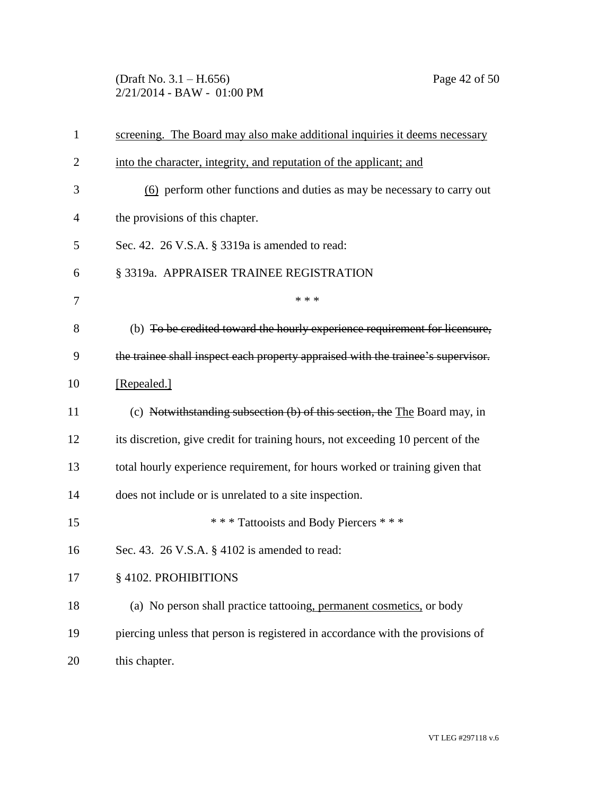(Draft No. 3.1 – H.656) Page 42 of 50 2/21/2014 - BAW - 01:00 PM

| 1              | screening. The Board may also make additional inquiries it deems necessary       |
|----------------|----------------------------------------------------------------------------------|
| $\overline{2}$ | into the character, integrity, and reputation of the applicant; and              |
| 3              | (6) perform other functions and duties as may be necessary to carry out          |
| 4              | the provisions of this chapter.                                                  |
| 5              | Sec. 42. 26 V.S.A. § 3319a is amended to read:                                   |
| 6              | § 3319a. APPRAISER TRAINEE REGISTRATION                                          |
| 7              | * * *                                                                            |
| 8              | (b) To be credited toward the hourly experience requirement for licensure,       |
| 9              | the trainee shall inspect each property appraised with the trainee's supervisor. |
| 10             | [Repealed.]                                                                      |
| 11             | (c) Notwithstanding subsection (b) of this section, the The Board may, in        |
| 12             | its discretion, give credit for training hours, not exceeding 10 percent of the  |
| 13             | total hourly experience requirement, for hours worked or training given that     |
| 14             | does not include or is unrelated to a site inspection.                           |
| 15             | *** Tattooists and Body Piercers ***                                             |
| 16             | Sec. 43. 26 V.S.A. § 4102 is amended to read:                                    |
| 17             | § 4102. PROHIBITIONS                                                             |
| 18             | (a) No person shall practice tattooing, permanent cosmetics, or body             |
| 19             | piercing unless that person is registered in accordance with the provisions of   |
| 20             | this chapter.                                                                    |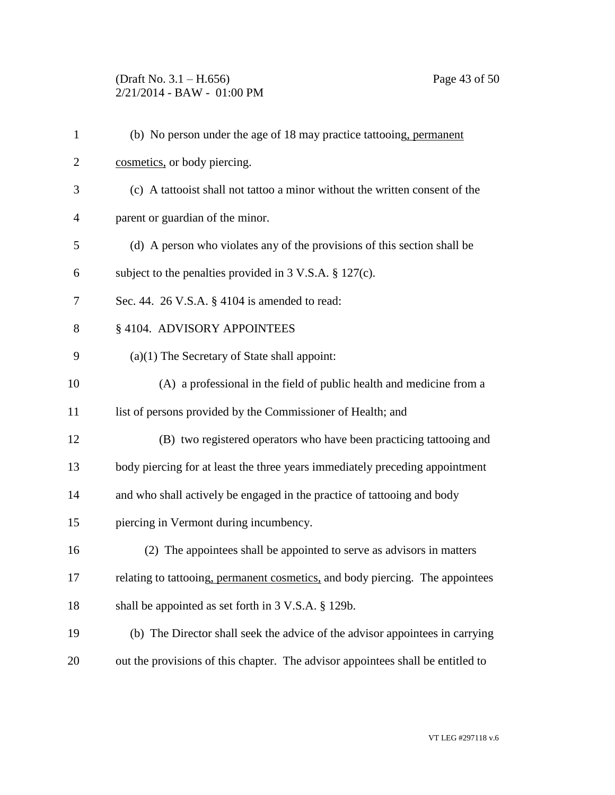### (Draft No. 3.1 – H.656) Page 43 of 50 2/21/2014 - BAW - 01:00 PM

| $\mathbf{1}$   | (b) No person under the age of 18 may practice tattooing, permanent             |
|----------------|---------------------------------------------------------------------------------|
| $\overline{2}$ | cosmetics, or body piercing.                                                    |
| 3              | (c) A tattooist shall not tattoo a minor without the written consent of the     |
| $\overline{4}$ | parent or guardian of the minor.                                                |
| 5              | (d) A person who violates any of the provisions of this section shall be        |
| 6              | subject to the penalties provided in $3 \text{ V.S.A.} \$ 127(c).               |
| 7              | Sec. 44. 26 V.S.A. § 4104 is amended to read:                                   |
| 8              | § 4104. ADVISORY APPOINTEES                                                     |
| 9              | $(a)(1)$ The Secretary of State shall appoint:                                  |
| 10             | (A) a professional in the field of public health and medicine from a            |
| 11             | list of persons provided by the Commissioner of Health; and                     |
| 12             | (B) two registered operators who have been practicing tattooing and             |
| 13             | body piercing for at least the three years immediately preceding appointment    |
| 14             | and who shall actively be engaged in the practice of tattooing and body         |
| 15             | piercing in Vermont during incumbency.                                          |
| 16             | (2) The appointees shall be appointed to serve as advisors in matters           |
| 17             | relating to tattooing, permanent cosmetics, and body piercing. The appointees   |
| 18             | shall be appointed as set forth in 3 V.S.A. § 129b.                             |
| 19             | (b) The Director shall seek the advice of the advisor appointees in carrying    |
| 20             | out the provisions of this chapter. The advisor appointees shall be entitled to |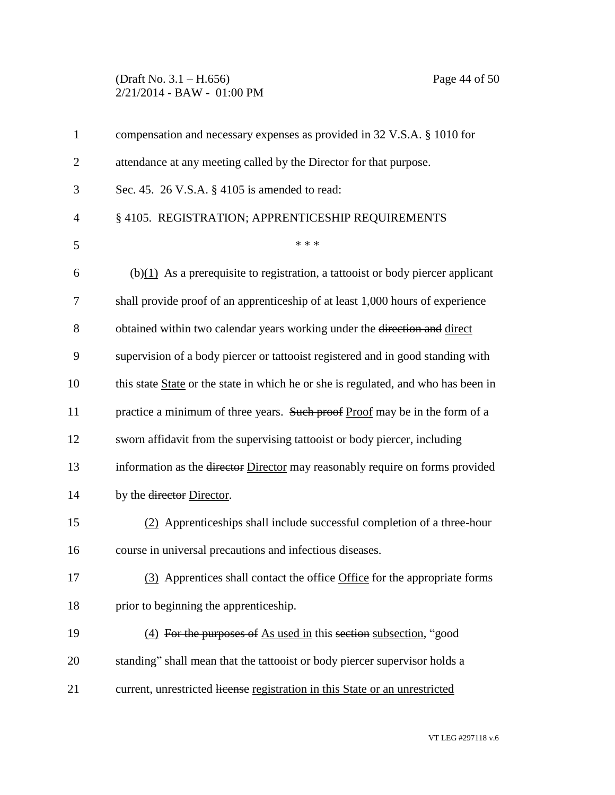### (Draft No. 3.1 – H.656) Page 44 of 50 2/21/2014 - BAW - 01:00 PM

| $\mathbf{1}$   | compensation and necessary expenses as provided in 32 V.S.A. § 1010 for            |
|----------------|------------------------------------------------------------------------------------|
| $\overline{2}$ | attendance at any meeting called by the Director for that purpose.                 |
| 3              | Sec. 45. 26 V.S.A. $\S$ 4105 is amended to read:                                   |
| 4              | § 4105. REGISTRATION; APPRENTICESHIP REQUIREMENTS                                  |
| 5              | * * *                                                                              |
| 6              | $(b)(1)$ As a prerequisite to registration, a tattooist or body piercer applicant  |
| 7              | shall provide proof of an apprenticeship of at least 1,000 hours of experience     |
| 8              | obtained within two calendar years working under the direction and direct          |
| 9              | supervision of a body piercer or tattooist registered and in good standing with    |
| 10             | this state State or the state in which he or she is regulated, and who has been in |
| 11             | practice a minimum of three years. Such proof Proof may be in the form of a        |
| 12             | sworn affidavit from the supervising tattooist or body piercer, including          |
| 13             | information as the director Director may reasonably require on forms provided      |
| 14             | by the director Director.                                                          |
| 15             | (2) Apprenticeships shall include successful completion of a three-hour            |
| 16             | course in universal precautions and infectious diseases.                           |
| 17             | (3) Apprentices shall contact the office Office for the appropriate forms          |
| 18             | prior to beginning the apprenticeship.                                             |
| 19             | (4) For the purposes of As used in this section subsection, "good                  |
| 20             | standing" shall mean that the tattooist or body piercer supervisor holds a         |
| 21             | current, unrestricted license registration in this State or an unrestricted        |
|                |                                                                                    |
|                |                                                                                    |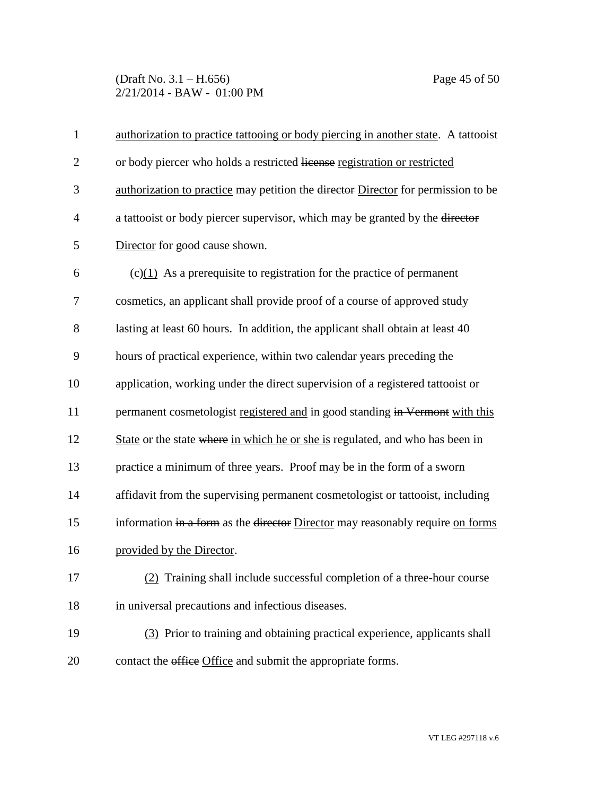### (Draft No. 3.1 – H.656) Page 45 of 50 2/21/2014 - BAW - 01:00 PM

| $\mathbf{1}$   | authorization to practice tattooing or body piercing in another state. A tattooist |
|----------------|------------------------------------------------------------------------------------|
| $\overline{2}$ | or body piercer who holds a restricted license registration or restricted          |
| 3              | authorization to practice may petition the director Director for permission to be  |
| 4              | a tattooist or body piercer supervisor, which may be granted by the director       |
| 5              | Director for good cause shown.                                                     |
| 6              | $(c)(1)$ As a prerequisite to registration for the practice of permanent           |
| 7              | cosmetics, an applicant shall provide proof of a course of approved study          |
| 8              | lasting at least 60 hours. In addition, the applicant shall obtain at least 40     |
| 9              | hours of practical experience, within two calendar years preceding the             |
| 10             | application, working under the direct supervision of a registered tattooist or     |
| 11             | permanent cosmetologist registered and in good standing in Vermont with this       |
| 12             | State or the state where in which he or she is regulated, and who has been in      |
| 13             | practice a minimum of three years. Proof may be in the form of a sworn             |
| 14             | affidavit from the supervising permanent cosmetologist or tattooist, including     |
| 15             | information in a form as the director Director may reasonably require on forms     |
| 16             | provided by the Director.                                                          |
| 17             | (2) Training shall include successful completion of a three-hour course            |
| 18             | in universal precautions and infectious diseases.                                  |
| 19             | (3) Prior to training and obtaining practical experience, applicants shall         |
| 20             | contact the office Office and submit the appropriate forms.                        |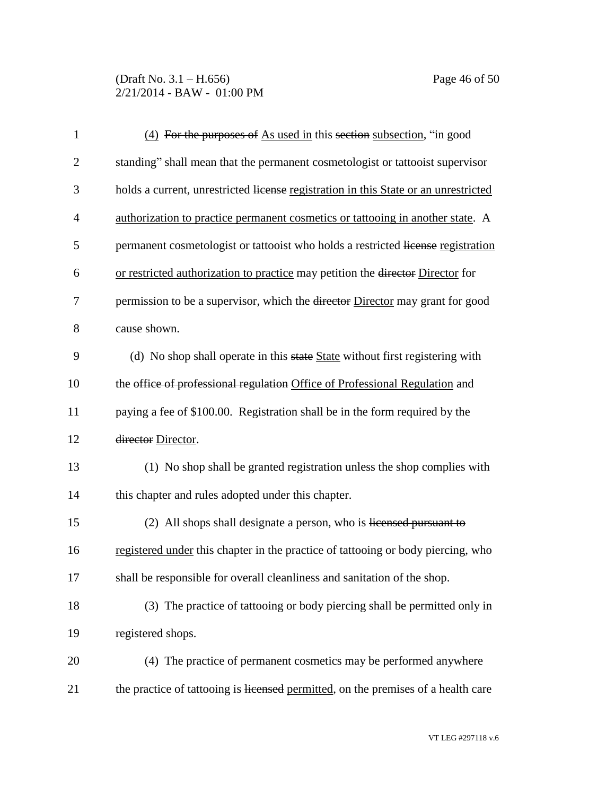(Draft No. 3.1 – H.656) Page 46 of 50 2/21/2014 - BAW - 01:00 PM

| $\mathbf{1}$   | $(4)$ For the purposes of As used in this section subsection, "in good                   |
|----------------|------------------------------------------------------------------------------------------|
| $\overline{2}$ | standing" shall mean that the permanent cosmetologist or tattooist supervisor            |
| 3              | holds a current, unrestricted license registration in this State or an unrestricted      |
| 4              | authorization to practice permanent cosmetics or tattooing in another state. A           |
| 5              | permanent cosmetologist or tattooist who holds a restricted license registration         |
| 6              | or restricted authorization to practice may petition the director Director for           |
| 7              | permission to be a supervisor, which the <del>director</del> Director may grant for good |
| 8              | cause shown.                                                                             |
| 9              | (d) No shop shall operate in this state State without first registering with             |
| 10             | the office of professional regulation Office of Professional Regulation and              |
| 11             | paying a fee of \$100.00. Registration shall be in the form required by the              |
| 12             | director Director.                                                                       |
| 13             | (1) No shop shall be granted registration unless the shop complies with                  |
| 14             | this chapter and rules adopted under this chapter.                                       |
| 15             | (2) All shops shall designate a person, who is licensed pursuant to                      |
| 16             | registered under this chapter in the practice of tattooing or body piercing, who         |
| 17             | shall be responsible for overall cleanliness and sanitation of the shop.                 |
| 18             | (3) The practice of tattooing or body piercing shall be permitted only in                |
| 19             | registered shops.                                                                        |
| 20             | (4) The practice of permanent cosmetics may be performed anywhere                        |
| 21             | the practice of tattooing is licensed permitted, on the premises of a health care        |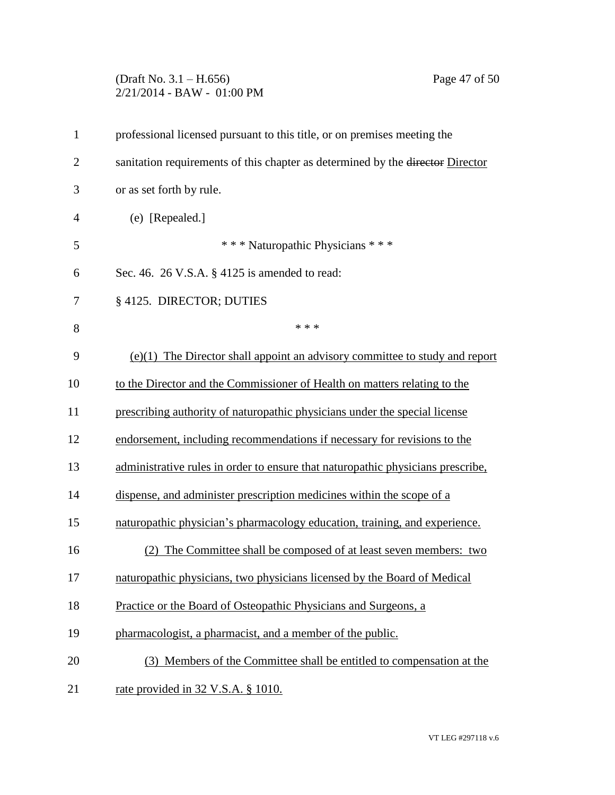## (Draft No. 3.1 – H.656) Page 47 of 50 2/21/2014 - BAW - 01:00 PM

| $\mathbf{1}$   | professional licensed pursuant to this title, or on premises meeting the        |
|----------------|---------------------------------------------------------------------------------|
| $\overline{2}$ | sanitation requirements of this chapter as determined by the director Director  |
| 3              | or as set forth by rule.                                                        |
| $\overline{4}$ | (e) [Repealed.]                                                                 |
| 5              | *** Naturopathic Physicians ***                                                 |
| 6              | Sec. 46. 26 V.S.A. § 4125 is amended to read:                                   |
| 7              | § 4125. DIRECTOR; DUTIES                                                        |
| 8              | * * *                                                                           |
| 9              | $(e)(1)$ The Director shall appoint an advisory committee to study and report   |
| 10             | to the Director and the Commissioner of Health on matters relating to the       |
| 11             | prescribing authority of naturopathic physicians under the special license      |
| 12             | endorsement, including recommendations if necessary for revisions to the        |
| 13             | administrative rules in order to ensure that naturopathic physicians prescribe, |
| 14             | dispense, and administer prescription medicines within the scope of a           |
| 15             | naturopathic physician's pharmacology education, training, and experience.      |
| 16             | (2) The Committee shall be composed of at least seven members: two              |
| 17             | naturopathic physicians, two physicians licensed by the Board of Medical        |
| 18             | Practice or the Board of Osteopathic Physicians and Surgeons, a                 |
| 19             | pharmacologist, a pharmacist, and a member of the public.                       |
| 20             | (3) Members of the Committee shall be entitled to compensation at the           |
| 21             | rate provided in 32 V.S.A. § 1010.                                              |
|                |                                                                                 |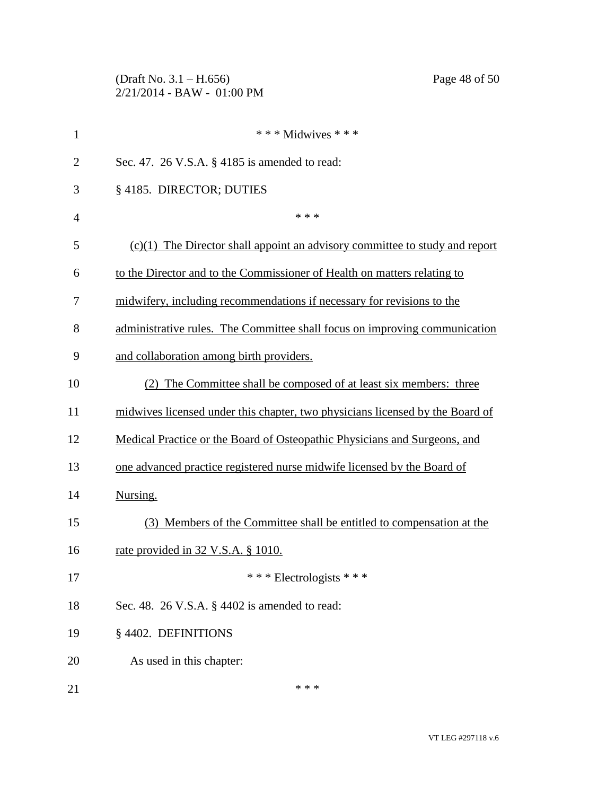(Draft No. 3.1 – H.656) Page 48 of 50 2/21/2014 - BAW - 01:00 PM

| $\mathbf{1}$   | *** Midwives ***                                                              |
|----------------|-------------------------------------------------------------------------------|
| $\overline{2}$ | Sec. 47. 26 V.S.A. § 4185 is amended to read:                                 |
| 3              | §4185. DIRECTOR; DUTIES                                                       |
| $\overline{4}$ | * * *                                                                         |
| 5              | $(c)(1)$ The Director shall appoint an advisory committee to study and report |
| 6              | to the Director and to the Commissioner of Health on matters relating to      |
| 7              | midwifery, including recommendations if necessary for revisions to the        |
| 8              | administrative rules. The Committee shall focus on improving communication    |
| 9              | and collaboration among birth providers.                                      |
| 10             | (2) The Committee shall be composed of at least six members: three            |
| 11             | midwives licensed under this chapter, two physicians licensed by the Board of |
| 12             | Medical Practice or the Board of Osteopathic Physicians and Surgeons, and     |
| 13             | one advanced practice registered nurse midwife licensed by the Board of       |
| 14             | Nursing.                                                                      |
| 15             | (3) Members of the Committee shall be entitled to compensation at the         |
| 16             | rate provided in 32 V.S.A. § 1010.                                            |
| 17             | *** Electrologists ***                                                        |
| 18             | Sec. 48. $26$ V.S.A. $\S$ 4402 is amended to read:                            |
| 19             | § 4402. DEFINITIONS                                                           |
| 20             | As used in this chapter:                                                      |
| 21             | * * *                                                                         |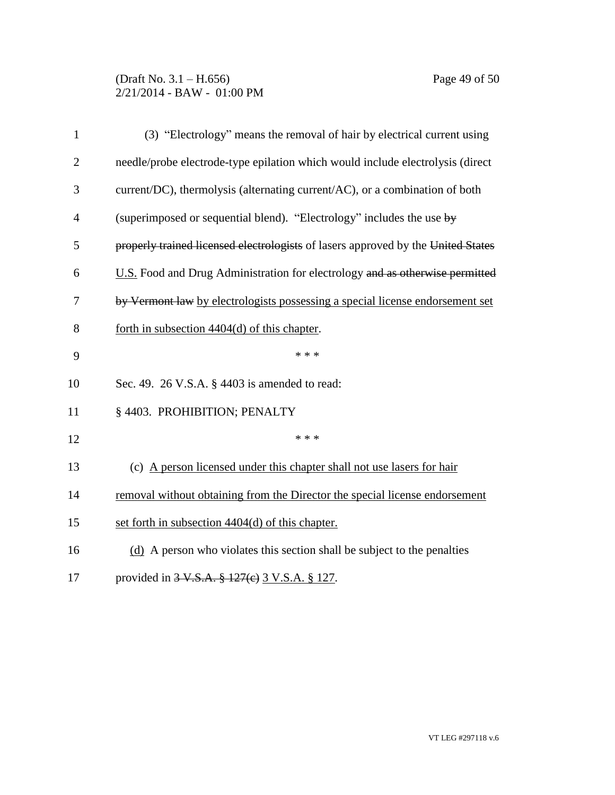### (Draft No. 3.1 – H.656) Page 49 of 50 2/21/2014 - BAW - 01:00 PM

| $\mathbf{1}$   | (3) "Electrology" means the removal of hair by electrical current using          |
|----------------|----------------------------------------------------------------------------------|
| $\overline{2}$ | needle/probe electrode-type epilation which would include electrolysis (direct   |
| 3              | current/DC), thermolysis (alternating current/AC), or a combination of both      |
| $\overline{4}$ | (superimposed or sequential blend). "Electrology" includes the use by            |
| 5              | properly trained licensed electrologists of lasers approved by the United States |
| 6              | U.S. Food and Drug Administration for electrology and as otherwise permitted     |
| 7              | by Vermont law by electrologists possessing a special license endorsement set    |
| 8              | forth in subsection $4404(d)$ of this chapter.                                   |
| 9              | * * *                                                                            |
| 10             | Sec. 49. 26 V.S.A. § 4403 is amended to read:                                    |
| 11             | § 4403. PROHIBITION; PENALTY                                                     |
| 12             | * * *                                                                            |
| 13             | (c) A person licensed under this chapter shall not use lasers for hair           |
| 14             | removal without obtaining from the Director the special license endorsement      |
| 15             | set forth in subsection 4404(d) of this chapter.                                 |
| 16             | (d) A person who violates this section shall be subject to the penalties         |
| 17             | provided in 3 V.S.A. § 127(e) 3 V.S.A. § 127.                                    |